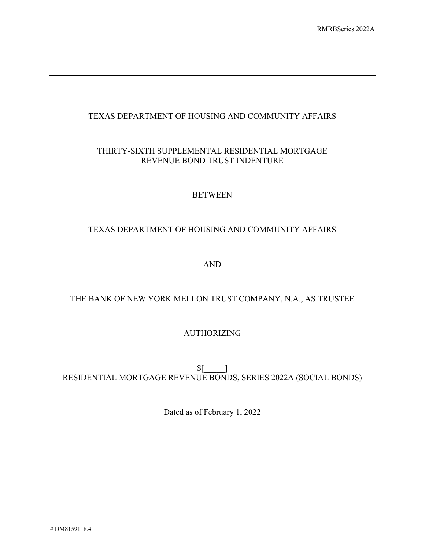# TEXAS DEPARTMENT OF HOUSING AND COMMUNITY AFFAIRS

# THIRTY-SIXTH SUPPLEMENTAL RESIDENTIAL MORTGAGE REVENUE BOND TRUST INDENTURE

## BETWEEN

# TEXAS DEPARTMENT OF HOUSING AND COMMUNITY AFFAIRS

AND

# THE BANK OF NEW YORK MELLON TRUST COMPANY, N.A., AS TRUSTEE

## AUTHORIZING

 $\sqrt{\frac{1}{2}}$ RESIDENTIAL MORTGAGE REVENUE BONDS, SERIES 2022A (SOCIAL BONDS)

Dated as of February 1, 2022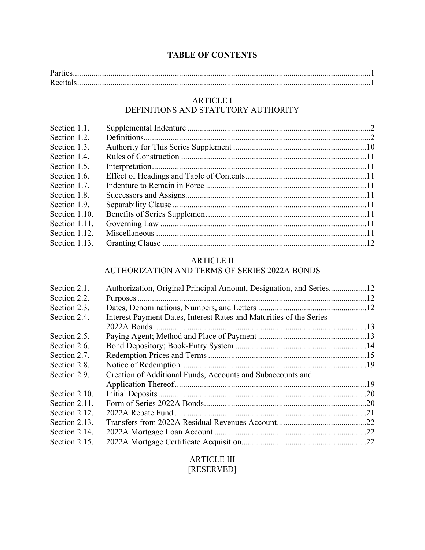# **TABLE OF CONTENTS**

| Parties |  |
|---------|--|
|         |  |

# ARTICLE I

# DEFINITIONS AND STATUTORY AUTHORITY

| Section 1.1.  |  |
|---------------|--|
| Section 1.2.  |  |
| Section 1.3.  |  |
| Section 1.4.  |  |
| Section 1.5.  |  |
| Section 1.6.  |  |
| Section 1.7.  |  |
| Section 1.8.  |  |
| Section 1.9.  |  |
| Section 1.10. |  |
| Section 1.11. |  |
| Section 1.12. |  |
| Section 1.13. |  |

# ARTICLE II

# AUTHORIZATION AND TERMS OF SERIES 2022A BONDS

| Section 2.1.  | Authorization, Original Principal Amount, Designation, and Series12 |  |
|---------------|---------------------------------------------------------------------|--|
| Section 2.2.  |                                                                     |  |
| Section 2.3.  |                                                                     |  |
| Section 2.4.  | Interest Payment Dates, Interest Rates and Maturities of the Series |  |
|               |                                                                     |  |
| Section 2.5.  |                                                                     |  |
| Section 2.6.  |                                                                     |  |
| Section 2.7.  |                                                                     |  |
| Section 2.8.  |                                                                     |  |
| Section 2.9.  | Creation of Additional Funds, Accounts and Subaccounts and          |  |
|               |                                                                     |  |
| Section 2.10. |                                                                     |  |
| Section 2.11. |                                                                     |  |
| Section 2.12. |                                                                     |  |
| Section 2.13. |                                                                     |  |
| Section 2.14. |                                                                     |  |
| Section 2.15. |                                                                     |  |

## ARTICLE III [RESERVED]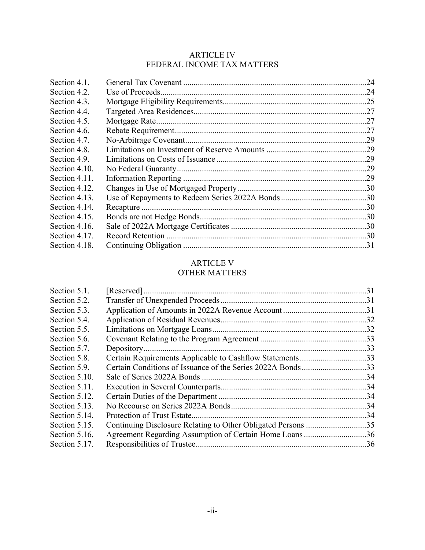# ARTICLE IV FEDERAL INCOME TAX MATTERS

# ARTICLE V

# OTHER MATTERS

| Section 5.1.  |                                                              |  |
|---------------|--------------------------------------------------------------|--|
| Section 5.2.  |                                                              |  |
| Section 5.3.  |                                                              |  |
| Section 5.4.  |                                                              |  |
| Section 5.5.  |                                                              |  |
| Section 5.6.  |                                                              |  |
| Section 5.7.  |                                                              |  |
| Section 5.8.  | Certain Requirements Applicable to Cashflow Statements33     |  |
| Section 5.9.  | Certain Conditions of Issuance of the Series 2022A Bonds33   |  |
| Section 5.10. |                                                              |  |
| Section 5.11. |                                                              |  |
| Section 5.12. |                                                              |  |
| Section 5.13. |                                                              |  |
| Section 5.14. |                                                              |  |
| Section 5.15. | Continuing Disclosure Relating to Other Obligated Persons 35 |  |
| Section 5.16. | Agreement Regarding Assumption of Certain Home Loans36       |  |
| Section 5.17. |                                                              |  |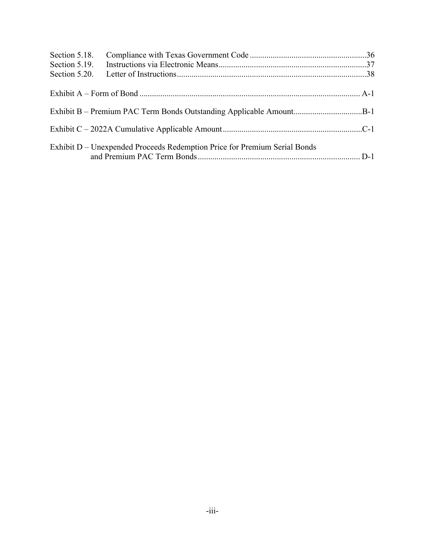| Section 5.18. |                                                                           |  |
|---------------|---------------------------------------------------------------------------|--|
| Section 5.19. |                                                                           |  |
|               |                                                                           |  |
|               |                                                                           |  |
|               | Exhibit B – Premium PAC Term Bonds Outstanding Applicable AmountB-1       |  |
|               |                                                                           |  |
|               | Exhibit D – Unexpended Proceeds Redemption Price for Premium Serial Bonds |  |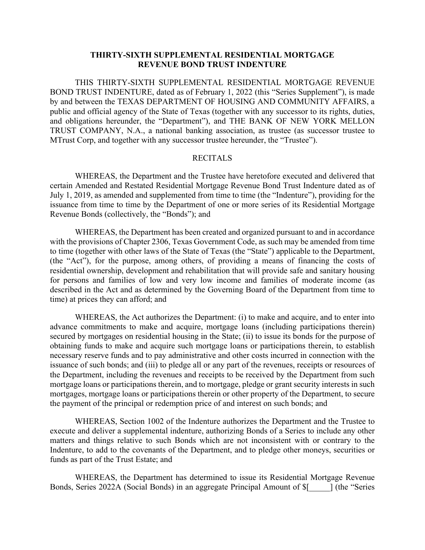#### **THIRTY-SIXTH SUPPLEMENTAL RESIDENTIAL MORTGAGE REVENUE BOND TRUST INDENTURE**

THIS THIRTY-SIXTH SUPPLEMENTAL RESIDENTIAL MORTGAGE REVENUE BOND TRUST INDENTURE, dated as of February 1, 2022 (this "Series Supplement"), is made by and between the TEXAS DEPARTMENT OF HOUSING AND COMMUNITY AFFAIRS, a public and official agency of the State of Texas (together with any successor to its rights, duties, and obligations hereunder, the "Department"), and THE BANK OF NEW YORK MELLON TRUST COMPANY, N.A., a national banking association, as trustee (as successor trustee to MTrust Corp, and together with any successor trustee hereunder, the "Trustee").

#### RECITALS

WHEREAS, the Department and the Trustee have heretofore executed and delivered that certain Amended and Restated Residential Mortgage Revenue Bond Trust Indenture dated as of July 1, 2019, as amended and supplemented from time to time (the "Indenture"), providing for the issuance from time to time by the Department of one or more series of its Residential Mortgage Revenue Bonds (collectively, the "Bonds"); and

WHEREAS, the Department has been created and organized pursuant to and in accordance with the provisions of Chapter 2306, Texas Government Code, as such may be amended from time to time (together with other laws of the State of Texas (the "State") applicable to the Department, (the "Act"), for the purpose, among others, of providing a means of financing the costs of residential ownership, development and rehabilitation that will provide safe and sanitary housing for persons and families of low and very low income and families of moderate income (as described in the Act and as determined by the Governing Board of the Department from time to time) at prices they can afford; and

WHEREAS, the Act authorizes the Department: (i) to make and acquire, and to enter into advance commitments to make and acquire, mortgage loans (including participations therein) secured by mortgages on residential housing in the State; (ii) to issue its bonds for the purpose of obtaining funds to make and acquire such mortgage loans or participations therein, to establish necessary reserve funds and to pay administrative and other costs incurred in connection with the issuance of such bonds; and (iii) to pledge all or any part of the revenues, receipts or resources of the Department, including the revenues and receipts to be received by the Department from such mortgage loans or participations therein, and to mortgage, pledge or grant security interests in such mortgages, mortgage loans or participations therein or other property of the Department, to secure the payment of the principal or redemption price of and interest on such bonds; and

WHEREAS, Section 1002 of the Indenture authorizes the Department and the Trustee to execute and deliver a supplemental indenture, authorizing Bonds of a Series to include any other matters and things relative to such Bonds which are not inconsistent with or contrary to the Indenture, to add to the covenants of the Department, and to pledge other moneys, securities or funds as part of the Trust Estate; and

WHEREAS, the Department has determined to issue its Residential Mortgage Revenue Bonds, Series 2022A (Social Bonds) in an aggregate Principal Amount of \$[\_\_\_\_\_] (the "Series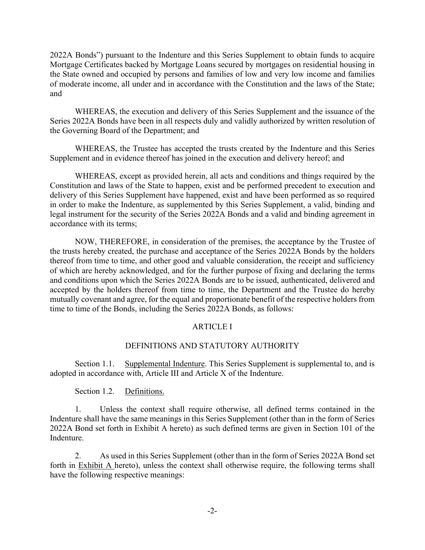2022A Bonds") pursuant to the Indenture and this Series Supplement to obtain funds to acquire Mortgage Certificates backed by Mortgage Loans secured by mortgages on residential housing in the State owned and occupied by persons and families of low and very low income and families of moderate income, all under and in accordance with the Constitution and the laws of the State; and

WHEREAS, the execution and delivery of this Series Supplement and the issuance of the Series 2022A Bonds have been in all respects duly and validly authorized by written resolution of the Governing Board of the Department; and

WHEREAS, the Trustee has accepted the trusts created by the Indenture and this Series Supplement and in evidence thereof has joined in the execution and delivery hereof; and

WHEREAS, except as provided herein, all acts and conditions and things required by the Constitution and laws of the State to happen, exist and be performed precedent to execution and delivery of this Series Supplement have happened, exist and have been performed as so required in order to make the Indenture, as supplemented by this Series Supplement, a valid, binding and legal instrument for the security of the Series 2022A Bonds and a valid and binding agreement in accordance with its terms;

NOW, THEREFORE, in consideration of the premises, the acceptance by the Trustee of the trusts hereby created, the purchase and acceptance of the Series 2022A Bonds by the holders thereof from time to time, and other good and valuable consideration, the receipt and sufficiency of which are hereby acknowledged, and for the further purpose of fixing and declaring the terms and conditions upon which the Series 2022A Bonds are to be issued, authenticated, delivered and accepted by the holders thereof from time to time, the Department and the Trustee do hereby mutually covenant and agree, for the equal and proportionate benefit of the respective holders from time to time of the Bonds, including the Series 2022A Bonds, as follows:

## ARTICLE I

#### DEFINITIONS AND STATUTORY AUTHORITY

Section 1.1. Supplemental Indenture. This Series Supplement is supplemental to, and is adopted in accordance with, Article III and Article X of the Indenture.

Section 1.2. Definitions.

1. Unless the context shall require otherwise, all defined terms contained in the Indenture shall have the same meanings in this Series Supplement (other than in the form of Series 2022A Bond set forth in Exhibit A hereto) as such defined terms are given in Section 101 of the Indenture.

2. As used in this Series Supplement (other than in the form of Series 2022A Bond set forth in Exhibit A hereto), unless the context shall otherwise require, the following terms shall have the following respective meanings: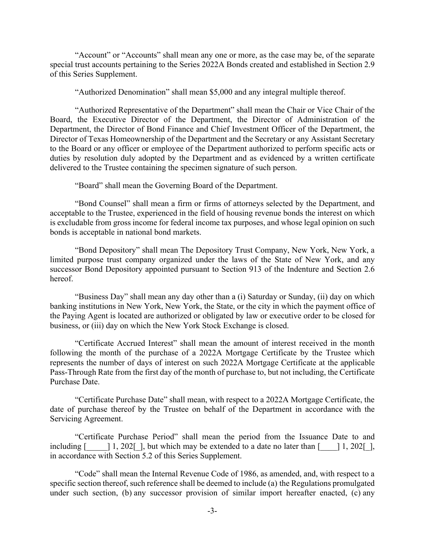"Account" or "Accounts" shall mean any one or more, as the case may be, of the separate special trust accounts pertaining to the Series 2022A Bonds created and established in Section 2.9 of this Series Supplement.

"Authorized Denomination" shall mean \$5,000 and any integral multiple thereof.

"Authorized Representative of the Department" shall mean the Chair or Vice Chair of the Board, the Executive Director of the Department, the Director of Administration of the Department, the Director of Bond Finance and Chief Investment Officer of the Department, the Director of Texas Homeownership of the Department and the Secretary or any Assistant Secretary to the Board or any officer or employee of the Department authorized to perform specific acts or duties by resolution duly adopted by the Department and as evidenced by a written certificate delivered to the Trustee containing the specimen signature of such person.

"Board" shall mean the Governing Board of the Department.

"Bond Counsel" shall mean a firm or firms of attorneys selected by the Department, and acceptable to the Trustee, experienced in the field of housing revenue bonds the interest on which is excludable from gross income for federal income tax purposes, and whose legal opinion on such bonds is acceptable in national bond markets.

"Bond Depository" shall mean The Depository Trust Company, New York, New York, a limited purpose trust company organized under the laws of the State of New York, and any successor Bond Depository appointed pursuant to Section 913 of the Indenture and Section 2.6 hereof.

"Business Day" shall mean any day other than a (i) Saturday or Sunday, (ii) day on which banking institutions in New York, New York, the State, or the city in which the payment office of the Paying Agent is located are authorized or obligated by law or executive order to be closed for business, or (iii) day on which the New York Stock Exchange is closed.

"Certificate Accrued Interest" shall mean the amount of interest received in the month following the month of the purchase of a 2022A Mortgage Certificate by the Trustee which represents the number of days of interest on such 2022A Mortgage Certificate at the applicable Pass-Through Rate from the first day of the month of purchase to, but not including, the Certificate Purchase Date.

"Certificate Purchase Date" shall mean, with respect to a 2022A Mortgage Certificate, the date of purchase thereof by the Trustee on behalf of the Department in accordance with the Servicing Agreement.

"Certificate Purchase Period" shall mean the period from the Issuance Date to and including  $\begin{bmatrix} 1, 202 \end{bmatrix}$ , but which may be extended to a date no later than  $\begin{bmatrix} 1, 202 \end{bmatrix}$ , in accordance with Section 5.2 of this Series Supplement.

"Code" shall mean the Internal Revenue Code of 1986, as amended, and, with respect to a specific section thereof, such reference shall be deemed to include (a) the Regulations promulgated under such section, (b) any successor provision of similar import hereafter enacted, (c) any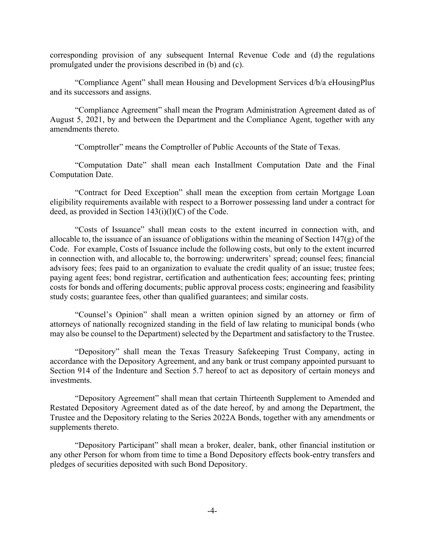corresponding provision of any subsequent Internal Revenue Code and (d) the regulations promulgated under the provisions described in (b) and (c).

"Compliance Agent" shall mean Housing and Development Services d/b/a eHousingPlus and its successors and assigns.

"Compliance Agreement" shall mean the Program Administration Agreement dated as of August 5, 2021, by and between the Department and the Compliance Agent, together with any amendments thereto.

"Comptroller" means the Comptroller of Public Accounts of the State of Texas.

"Computation Date" shall mean each Installment Computation Date and the Final Computation Date.

"Contract for Deed Exception" shall mean the exception from certain Mortgage Loan eligibility requirements available with respect to a Borrower possessing land under a contract for deed, as provided in Section  $143(i)(l)(C)$  of the Code.

"Costs of Issuance" shall mean costs to the extent incurred in connection with, and allocable to, the issuance of an issuance of obligations within the meaning of Section 147(g) of the Code. For example, Costs of Issuance include the following costs, but only to the extent incurred in connection with, and allocable to, the borrowing: underwriters' spread; counsel fees; financial advisory fees; fees paid to an organization to evaluate the credit quality of an issue; trustee fees; paying agent fees; bond registrar, certification and authentication fees; accounting fees; printing costs for bonds and offering documents; public approval process costs; engineering and feasibility study costs; guarantee fees, other than qualified guarantees; and similar costs.

"Counsel's Opinion" shall mean a written opinion signed by an attorney or firm of attorneys of nationally recognized standing in the field of law relating to municipal bonds (who may also be counsel to the Department) selected by the Department and satisfactory to the Trustee.

"Depository" shall mean the Texas Treasury Safekeeping Trust Company, acting in accordance with the Depository Agreement, and any bank or trust company appointed pursuant to Section 914 of the Indenture and Section 5.7 hereof to act as depository of certain moneys and investments.

"Depository Agreement" shall mean that certain Thirteenth Supplement to Amended and Restated Depository Agreement dated as of the date hereof, by and among the Department, the Trustee and the Depository relating to the Series 2022A Bonds, together with any amendments or supplements thereto.

"Depository Participant" shall mean a broker, dealer, bank, other financial institution or any other Person for whom from time to time a Bond Depository effects book-entry transfers and pledges of securities deposited with such Bond Depository.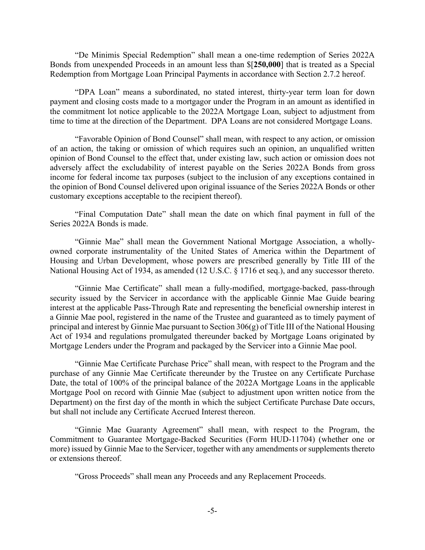"De Minimis Special Redemption" shall mean a one-time redemption of Series 2022A Bonds from unexpended Proceeds in an amount less than \$[**250,000**] that is treated as a Special Redemption from Mortgage Loan Principal Payments in accordance with Section 2.7.2 hereof.

"DPA Loan" means a subordinated, no stated interest, thirty-year term loan for down payment and closing costs made to a mortgagor under the Program in an amount as identified in the commitment lot notice applicable to the 2022A Mortgage Loan, subject to adjustment from time to time at the direction of the Department. DPA Loans are not considered Mortgage Loans.

"Favorable Opinion of Bond Counsel" shall mean, with respect to any action, or omission of an action, the taking or omission of which requires such an opinion, an unqualified written opinion of Bond Counsel to the effect that, under existing law, such action or omission does not adversely affect the excludability of interest payable on the Series 2022A Bonds from gross income for federal income tax purposes (subject to the inclusion of any exceptions contained in the opinion of Bond Counsel delivered upon original issuance of the Series 2022A Bonds or other customary exceptions acceptable to the recipient thereof).

"Final Computation Date" shall mean the date on which final payment in full of the Series 2022A Bonds is made.

"Ginnie Mae" shall mean the Government National Mortgage Association, a whollyowned corporate instrumentality of the United States of America within the Department of Housing and Urban Development, whose powers are prescribed generally by Title III of the National Housing Act of 1934, as amended (12 U.S.C. § 1716 et seq.), and any successor thereto.

"Ginnie Mae Certificate" shall mean a fully-modified, mortgage-backed, pass-through security issued by the Servicer in accordance with the applicable Ginnie Mae Guide bearing interest at the applicable Pass-Through Rate and representing the beneficial ownership interest in a Ginnie Mae pool, registered in the name of the Trustee and guaranteed as to timely payment of principal and interest by Ginnie Mae pursuant to Section 306(g) of Title III of the National Housing Act of 1934 and regulations promulgated thereunder backed by Mortgage Loans originated by Mortgage Lenders under the Program and packaged by the Servicer into a Ginnie Mae pool.

"Ginnie Mae Certificate Purchase Price" shall mean, with respect to the Program and the purchase of any Ginnie Mae Certificate thereunder by the Trustee on any Certificate Purchase Date, the total of 100% of the principal balance of the 2022A Mortgage Loans in the applicable Mortgage Pool on record with Ginnie Mae (subject to adjustment upon written notice from the Department) on the first day of the month in which the subject Certificate Purchase Date occurs, but shall not include any Certificate Accrued Interest thereon.

"Ginnie Mae Guaranty Agreement" shall mean, with respect to the Program, the Commitment to Guarantee Mortgage-Backed Securities (Form HUD-11704) (whether one or more) issued by Ginnie Mae to the Servicer, together with any amendments or supplements thereto or extensions thereof.

"Gross Proceeds" shall mean any Proceeds and any Replacement Proceeds.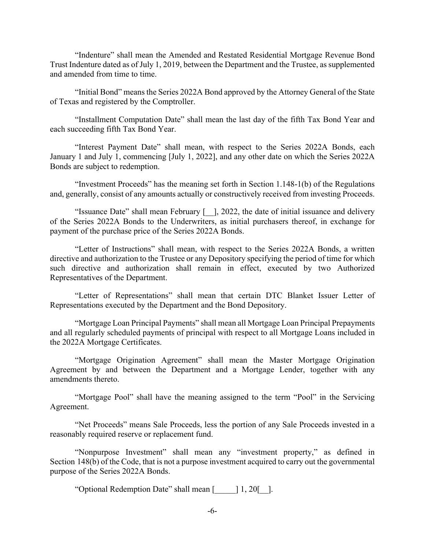"Indenture" shall mean the Amended and Restated Residential Mortgage Revenue Bond Trust Indenture dated as of July 1, 2019, between the Department and the Trustee, as supplemented and amended from time to time.

"Initial Bond" means the Series 2022A Bond approved by the Attorney General of the State of Texas and registered by the Comptroller.

"Installment Computation Date" shall mean the last day of the fifth Tax Bond Year and each succeeding fifth Tax Bond Year.

"Interest Payment Date" shall mean, with respect to the Series 2022A Bonds, each January 1 and July 1, commencing [July 1, 2022], and any other date on which the Series 2022A Bonds are subject to redemption.

"Investment Proceeds" has the meaning set forth in Section 1.148-1(b) of the Regulations and, generally, consist of any amounts actually or constructively received from investing Proceeds.

"Issuance Date" shall mean February [\_\_], 2022, the date of initial issuance and delivery of the Series 2022A Bonds to the Underwriters, as initial purchasers thereof, in exchange for payment of the purchase price of the Series 2022A Bonds.

"Letter of Instructions" shall mean, with respect to the Series 2022A Bonds, a written directive and authorization to the Trustee or any Depository specifying the period of time for which such directive and authorization shall remain in effect, executed by two Authorized Representatives of the Department.

"Letter of Representations" shall mean that certain DTC Blanket Issuer Letter of Representations executed by the Department and the Bond Depository.

"Mortgage Loan Principal Payments" shall mean all Mortgage Loan Principal Prepayments and all regularly scheduled payments of principal with respect to all Mortgage Loans included in the 2022A Mortgage Certificates.

"Mortgage Origination Agreement" shall mean the Master Mortgage Origination Agreement by and between the Department and a Mortgage Lender, together with any amendments thereto.

"Mortgage Pool" shall have the meaning assigned to the term "Pool" in the Servicing Agreement.

"Net Proceeds" means Sale Proceeds, less the portion of any Sale Proceeds invested in a reasonably required reserve or replacement fund.

"Nonpurpose Investment" shall mean any "investment property," as defined in Section 148(b) of the Code, that is not a purpose investment acquired to carry out the governmental purpose of the Series 2022A Bonds.

"Optional Redemption Date" shall mean [\_\_\_\_\_] 1, 20[\_\_].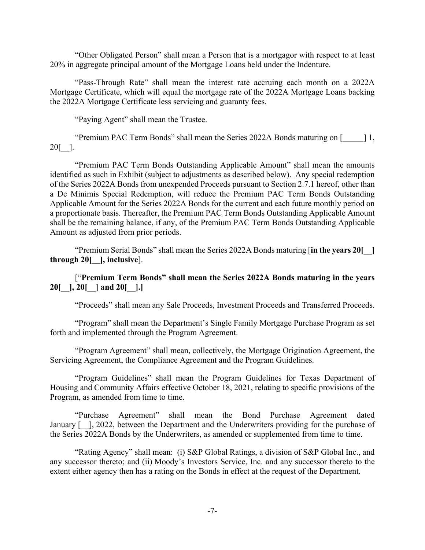"Other Obligated Person" shall mean a Person that is a mortgagor with respect to at least 20% in aggregate principal amount of the Mortgage Loans held under the Indenture.

"Pass-Through Rate" shall mean the interest rate accruing each month on a 2022A Mortgage Certificate, which will equal the mortgage rate of the 2022A Mortgage Loans backing the 2022A Mortgage Certificate less servicing and guaranty fees.

"Paying Agent" shall mean the Trustee.

"Premium PAC Term Bonds" shall mean the Series 2022A Bonds maturing on [\_\_\_\_\_] 1, 20[\_\_].

"Premium PAC Term Bonds Outstanding Applicable Amount" shall mean the amounts identified as such in Exhibit (subject to adjustments as described below). Any special redemption of the Series 2022A Bonds from unexpended Proceeds pursuant to Section 2.7.1 hereof, other than a De Minimis Special Redemption, will reduce the Premium PAC Term Bonds Outstanding Applicable Amount for the Series 2022A Bonds for the current and each future monthly period on a proportionate basis. Thereafter, the Premium PAC Term Bonds Outstanding Applicable Amount shall be the remaining balance, if any, of the Premium PAC Term Bonds Outstanding Applicable Amount as adjusted from prior periods.

"Premium Serial Bonds" shall mean the Series 2022A Bonds maturing [**in the years 20[\_\_] through 20[\_\_], inclusive**].

## ["**Premium Term Bonds" shall mean the Series 2022A Bonds maturing in the years 20[\_\_], 20[\_\_] and 20[\_\_].]**

"Proceeds" shall mean any Sale Proceeds, Investment Proceeds and Transferred Proceeds.

"Program" shall mean the Department's Single Family Mortgage Purchase Program as set forth and implemented through the Program Agreement.

"Program Agreement" shall mean, collectively, the Mortgage Origination Agreement, the Servicing Agreement, the Compliance Agreement and the Program Guidelines.

"Program Guidelines" shall mean the Program Guidelines for Texas Department of Housing and Community Affairs effective October 18, 2021, relating to specific provisions of the Program, as amended from time to time.

"Purchase Agreement" shall mean the Bond Purchase Agreement dated January [-1, 2022, between the Department and the Underwriters providing for the purchase of the Series 2022A Bonds by the Underwriters, as amended or supplemented from time to time.

"Rating Agency" shall mean: (i) S&P Global Ratings, a division of S&P Global Inc., and any successor thereto; and (ii) Moody's Investors Service, Inc. and any successor thereto to the extent either agency then has a rating on the Bonds in effect at the request of the Department.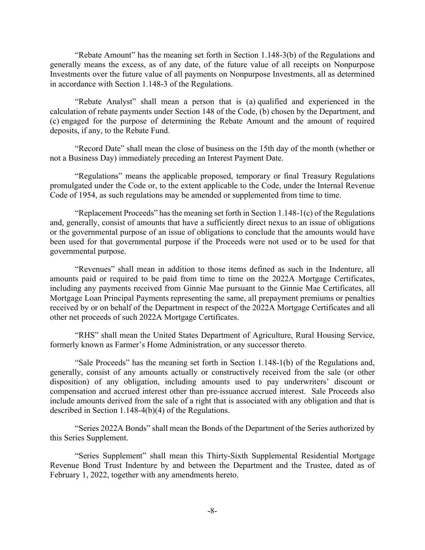"Rebate Amount" has the meaning set forth in Section 1.148-3(b) of the Regulations and generally means the excess, as of any date, of the future value of all receipts on Nonpurpose Investments over the future value of all payments on Nonpurpose Investments, all as determined in accordance with Section 1.148-3 of the Regulations.

"Rebate Analyst" shall mean a person that is (a) qualified and experienced in the calculation of rebate payments under Section 148 of the Code, (b) chosen by the Department, and (c) engaged for the purpose of determining the Rebate Amount and the amount of required deposits, if any, to the Rebate Fund.

"Record Date" shall mean the close of business on the 15th day of the month (whether or not a Business Day) immediately preceding an Interest Payment Date.

"Regulations" means the applicable proposed, temporary or final Treasury Regulations promulgated under the Code or, to the extent applicable to the Code, under the Internal Revenue Code of 1954, as such regulations may be amended or supplemented from time to time.

"Replacement Proceeds" has the meaning set forth in Section 1.148-1(c) of the Regulations and, generally, consist of amounts that have a sufficiently direct nexus to an issue of obligations or the governmental purpose of an issue of obligations to conclude that the amounts would have been used for that governmental purpose if the Proceeds were not used or to be used for that governmental purpose.

"Revenues" shall mean in addition to those items defined as such in the Indenture, all amounts paid or required to be paid from time to time on the 2022A Mortgage Certificates, including any payments received from Ginnie Mae pursuant to the Ginnie Mae Certificates, all Mortgage Loan Principal Payments representing the same, all prepayment premiums or penalties received by or on behalf of the Department in respect of the 2022A Mortgage Certificates and all other net proceeds of such 2022A Mortgage Certificates.

"RHS" shall mean the United States Department of Agriculture, Rural Housing Service, formerly known as Farmer's Home Administration, or any successor thereto.

"Sale Proceeds" has the meaning set forth in Section 1.148-1(b) of the Regulations and, generally, consist of any amounts actually or constructively received from the sale (or other disposition) of any obligation, including amounts used to pay underwriters' discount or compensation and accrued interest other than pre-issuance accrued interest. Sale Proceeds also include amounts derived from the sale of a right that is associated with any obligation and that is described in Section 1.148-4(b)(4) of the Regulations.

"Series 2022A Bonds" shall mean the Bonds of the Department of the Series authorized by this Series Supplement.

"Series Supplement" shall mean this Thirty-Sixth Supplemental Residential Mortgage Revenue Bond Trust Indenture by and between the Department and the Trustee, dated as of February 1, 2022, together with any amendments hereto.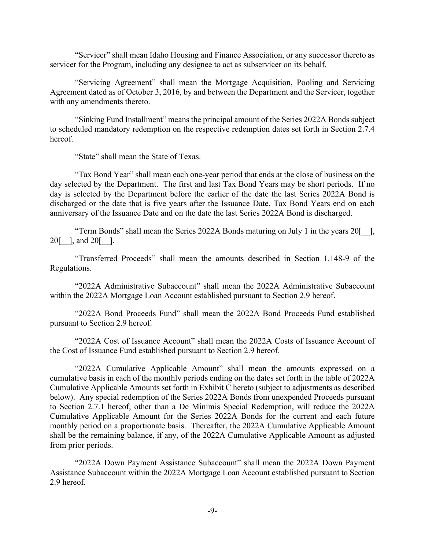"Servicer" shall mean Idaho Housing and Finance Association, or any successor thereto as servicer for the Program, including any designee to act as subservicer on its behalf.

"Servicing Agreement" shall mean the Mortgage Acquisition, Pooling and Servicing Agreement dated as of October 3, 2016, by and between the Department and the Servicer, together with any amendments thereto.

"Sinking Fund Installment" means the principal amount of the Series 2022A Bonds subject to scheduled mandatory redemption on the respective redemption dates set forth in Section 2.7.4 hereof.

"State" shall mean the State of Texas.

"Tax Bond Year" shall mean each one-year period that ends at the close of business on the day selected by the Department. The first and last Tax Bond Years may be short periods. If no day is selected by the Department before the earlier of the date the last Series 2022A Bond is discharged or the date that is five years after the Issuance Date, Tax Bond Years end on each anniversary of the Issuance Date and on the date the last Series 2022A Bond is discharged.

"Term Bonds" shall mean the Series 2022A Bonds maturing on July 1 in the years 20[\_\_], 20[\_\_], and 20[\_\_].

"Transferred Proceeds" shall mean the amounts described in Section 1.148-9 of the Regulations.

"2022A Administrative Subaccount" shall mean the 2022A Administrative Subaccount within the 2022A Mortgage Loan Account established pursuant to Section 2.9 hereof.

"2022A Bond Proceeds Fund" shall mean the 2022A Bond Proceeds Fund established pursuant to Section 2.9 hereof.

"2022A Cost of Issuance Account" shall mean the 2022A Costs of Issuance Account of the Cost of Issuance Fund established pursuant to Section 2.9 hereof.

"2022A Cumulative Applicable Amount" shall mean the amounts expressed on a cumulative basis in each of the monthly periods ending on the dates set forth in the table of 2022A Cumulative Applicable Amounts set forth in Exhibit C hereto (subject to adjustments as described below). Any special redemption of the Series 2022A Bonds from unexpended Proceeds pursuant to Section 2.7.1 hereof, other than a De Minimis Special Redemption, will reduce the 2022A Cumulative Applicable Amount for the Series 2022A Bonds for the current and each future monthly period on a proportionate basis. Thereafter, the 2022A Cumulative Applicable Amount shall be the remaining balance, if any, of the 2022A Cumulative Applicable Amount as adjusted from prior periods.

"2022A Down Payment Assistance Subaccount" shall mean the 2022A Down Payment Assistance Subaccount within the 2022A Mortgage Loan Account established pursuant to Section 2.9 hereof.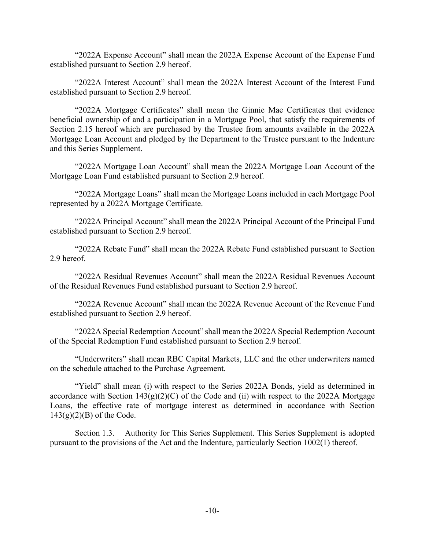"2022A Expense Account" shall mean the 2022A Expense Account of the Expense Fund established pursuant to Section 2.9 hereof.

"2022A Interest Account" shall mean the 2022A Interest Account of the Interest Fund established pursuant to Section 2.9 hereof.

"2022A Mortgage Certificates" shall mean the Ginnie Mae Certificates that evidence beneficial ownership of and a participation in a Mortgage Pool, that satisfy the requirements of Section 2.15 hereof which are purchased by the Trustee from amounts available in the 2022A Mortgage Loan Account and pledged by the Department to the Trustee pursuant to the Indenture and this Series Supplement.

"2022A Mortgage Loan Account" shall mean the 2022A Mortgage Loan Account of the Mortgage Loan Fund established pursuant to Section 2.9 hereof.

"2022A Mortgage Loans" shall mean the Mortgage Loans included in each Mortgage Pool represented by a 2022A Mortgage Certificate.

"2022A Principal Account" shall mean the 2022A Principal Account of the Principal Fund established pursuant to Section 2.9 hereof.

"2022A Rebate Fund" shall mean the 2022A Rebate Fund established pursuant to Section 2.9 hereof.

"2022A Residual Revenues Account" shall mean the 2022A Residual Revenues Account of the Residual Revenues Fund established pursuant to Section 2.9 hereof.

"2022A Revenue Account" shall mean the 2022A Revenue Account of the Revenue Fund established pursuant to Section 2.9 hereof.

"2022A Special Redemption Account" shall mean the 2022A Special Redemption Account of the Special Redemption Fund established pursuant to Section 2.9 hereof.

"Underwriters" shall mean RBC Capital Markets, LLC and the other underwriters named on the schedule attached to the Purchase Agreement.

"Yield" shall mean (i) with respect to the Series 2022A Bonds, yield as determined in accordance with Section  $143(g)(2)(C)$  of the Code and (ii) with respect to the 2022A Mortgage Loans, the effective rate of mortgage interest as determined in accordance with Section  $143(g)(2)(B)$  of the Code.

Section 1.3. Authority for This Series Supplement. This Series Supplement is adopted pursuant to the provisions of the Act and the Indenture, particularly Section 1002(1) thereof.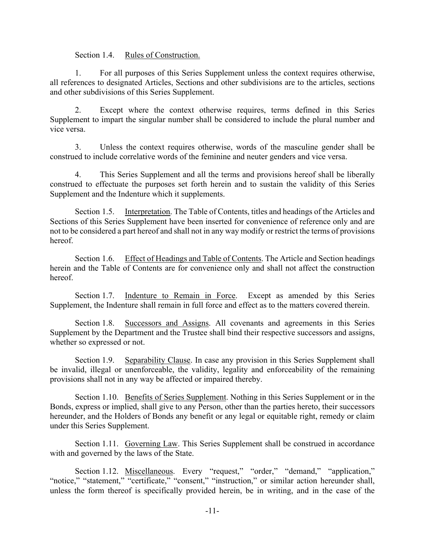Section 1.4. Rules of Construction.

1. For all purposes of this Series Supplement unless the context requires otherwise, all references to designated Articles, Sections and other subdivisions are to the articles, sections and other subdivisions of this Series Supplement.

2. Except where the context otherwise requires, terms defined in this Series Supplement to impart the singular number shall be considered to include the plural number and vice versa.

3. Unless the context requires otherwise, words of the masculine gender shall be construed to include correlative words of the feminine and neuter genders and vice versa.

4. This Series Supplement and all the terms and provisions hereof shall be liberally construed to effectuate the purposes set forth herein and to sustain the validity of this Series Supplement and the Indenture which it supplements.

Section 1.5. Interpretation. The Table of Contents, titles and headings of the Articles and Sections of this Series Supplement have been inserted for convenience of reference only and are not to be considered a part hereof and shall not in any way modify or restrict the terms of provisions hereof.

Section 1.6. Effect of Headings and Table of Contents. The Article and Section headings herein and the Table of Contents are for convenience only and shall not affect the construction hereof.

Section 1.7. Indenture to Remain in Force. Except as amended by this Series Supplement, the Indenture shall remain in full force and effect as to the matters covered therein.

Section 1.8. Successors and Assigns. All covenants and agreements in this Series Supplement by the Department and the Trustee shall bind their respective successors and assigns, whether so expressed or not.

Section 1.9. Separability Clause. In case any provision in this Series Supplement shall be invalid, illegal or unenforceable, the validity, legality and enforceability of the remaining provisions shall not in any way be affected or impaired thereby.

Section 1.10. Benefits of Series Supplement. Nothing in this Series Supplement or in the Bonds, express or implied, shall give to any Person, other than the parties hereto, their successors hereunder, and the Holders of Bonds any benefit or any legal or equitable right, remedy or claim under this Series Supplement.

Section 1.11. Governing Law. This Series Supplement shall be construed in accordance with and governed by the laws of the State.

Section 1.12. Miscellaneous. Every "request," "order," "demand," "application," "notice," "statement," "certificate," "consent," "instruction," or similar action hereunder shall, unless the form thereof is specifically provided herein, be in writing, and in the case of the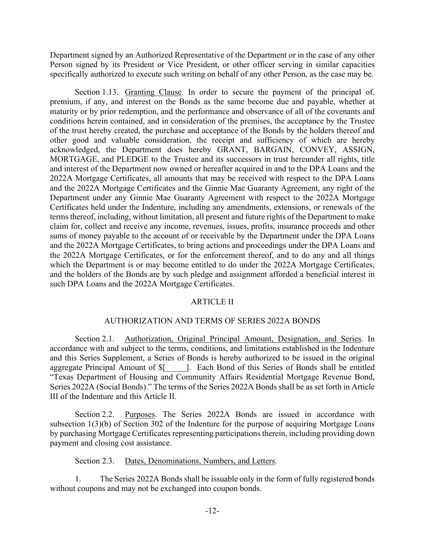Department signed by an Authorized Representative of the Department or in the case of any other Person signed by its President or Vice President, or other officer serving in similar capacities specifically authorized to execute such writing on behalf of any other Person, as the case may be.

Section 1.13. Granting Clause. In order to secure the payment of the principal of, premium, if any, and interest on the Bonds as the same become due and payable, whether at maturity or by prior redemption, and the performance and observance of all of the covenants and conditions herein contained, and in consideration of the premises, the acceptance by the Trustee of the trust hereby created, the purchase and acceptance of the Bonds by the holders thereof and other good and valuable consideration, the receipt and sufficiency of which are hereby acknowledged, the Department does hereby GRANT, BARGAIN, CONVEY, ASSIGN, MORTGAGE, and PLEDGE to the Trustee and its successors in trust hereunder all rights, title and interest of the Department now owned or hereafter acquired in and to the DPA Loans and the 2022A Mortgage Certificates, all amounts that may be received with respect to the DPA Loans and the 2022A Mortgage Certificates and the Ginnie Mae Guaranty Agreement, any right of the Department under any Ginnie Mae Guaranty Agreement with respect to the 2022A Mortgage Certificates held under the Indenture, including any amendments, extensions, or renewals of the terms thereof, including, without limitation, all present and future rights of the Department to make claim for, collect and receive any income, revenues, issues, profits, insurance proceeds and other sums of money payable to the account of or receivable by the Department under the DPA Loans and the 2022A Mortgage Certificates, to bring actions and proceedings under the DPA Loans and the 2022A Mortgage Certificates, or for the enforcement thereof, and to do any and all things which the Department is or may become entitled to do under the 2022A Mortgage Certificates, and the holders of the Bonds are by such pledge and assignment afforded a beneficial interest in such DPA Loans and the 2022A Mortgage Certificates.

#### ARTICLE II

#### AUTHORIZATION AND TERMS OF SERIES 2022A BONDS

Section 2.1. Authorization, Original Principal Amount, Designation, and Series. In accordance with and subject to the terms, conditions, and limitations established in the Indenture and this Series Supplement, a Series of Bonds is hereby authorized to be issued in the original aggregate Principal Amount of \$[\_\_\_\_\_]. Each Bond of this Series of Bonds shall be entitled "Texas Department of Housing and Community Affairs Residential Mortgage Revenue Bond, Series 2022A (Social Bonds)." The terms of the Series 2022A Bonds shall be as set forth in Article III of the Indenture and this Article II.

Section 2.2. Purposes. The Series 2022A Bonds are issued in accordance with subsection 1(3)(b) of Section 302 of the Indenture for the purpose of acquiring Mortgage Loans by purchasing Mortgage Certificates representing participations therein, including providing down payment and closing cost assistance.

Section 2.3. Dates, Denominations, Numbers, and Letters.

1. The Series 2022A Bonds shall be issuable only in the form of fully registered bonds without coupons and may not be exchanged into coupon bonds.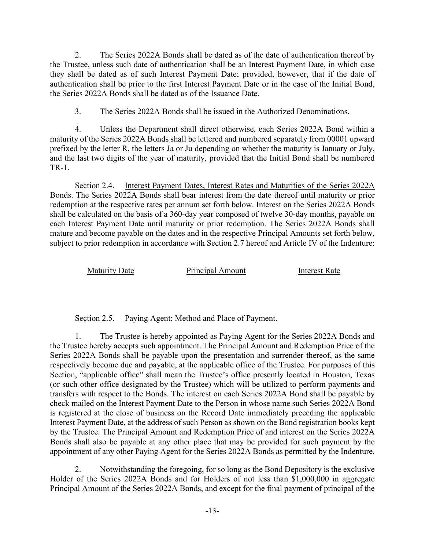2. The Series 2022A Bonds shall be dated as of the date of authentication thereof by the Trustee, unless such date of authentication shall be an Interest Payment Date, in which case they shall be dated as of such Interest Payment Date; provided, however, that if the date of authentication shall be prior to the first Interest Payment Date or in the case of the Initial Bond, the Series 2022A Bonds shall be dated as of the Issuance Date.

3. The Series 2022A Bonds shall be issued in the Authorized Denominations.

4. Unless the Department shall direct otherwise, each Series 2022A Bond within a maturity of the Series 2022A Bonds shall be lettered and numbered separately from 00001 upward prefixed by the letter R, the letters Ja or Ju depending on whether the maturity is January or July, and the last two digits of the year of maturity, provided that the Initial Bond shall be numbered TR-1.

Section 2.4. Interest Payment Dates, Interest Rates and Maturities of the Series 2022A Bonds. The Series 2022A Bonds shall bear interest from the date thereof until maturity or prior redemption at the respective rates per annum set forth below. Interest on the Series 2022A Bonds shall be calculated on the basis of a 360-day year composed of twelve 30-day months, payable on each Interest Payment Date until maturity or prior redemption. The Series 2022A Bonds shall mature and become payable on the dates and in the respective Principal Amounts set forth below, subject to prior redemption in accordance with Section 2.7 hereof and Article IV of the Indenture:

Maturity Date **Principal Amount** Interest Rate

Section 2.5. Paying Agent; Method and Place of Payment.

1. The Trustee is hereby appointed as Paying Agent for the Series 2022A Bonds and the Trustee hereby accepts such appointment. The Principal Amount and Redemption Price of the Series 2022A Bonds shall be payable upon the presentation and surrender thereof, as the same respectively become due and payable, at the applicable office of the Trustee. For purposes of this Section, "applicable office" shall mean the Trustee's office presently located in Houston, Texas (or such other office designated by the Trustee) which will be utilized to perform payments and transfers with respect to the Bonds. The interest on each Series 2022A Bond shall be payable by check mailed on the Interest Payment Date to the Person in whose name such Series 2022A Bond is registered at the close of business on the Record Date immediately preceding the applicable Interest Payment Date, at the address of such Person as shown on the Bond registration books kept by the Trustee. The Principal Amount and Redemption Price of and interest on the Series 2022A Bonds shall also be payable at any other place that may be provided for such payment by the appointment of any other Paying Agent for the Series 2022A Bonds as permitted by the Indenture.

2. Notwithstanding the foregoing, for so long as the Bond Depository is the exclusive Holder of the Series 2022A Bonds and for Holders of not less than \$1,000,000 in aggregate Principal Amount of the Series 2022A Bonds, and except for the final payment of principal of the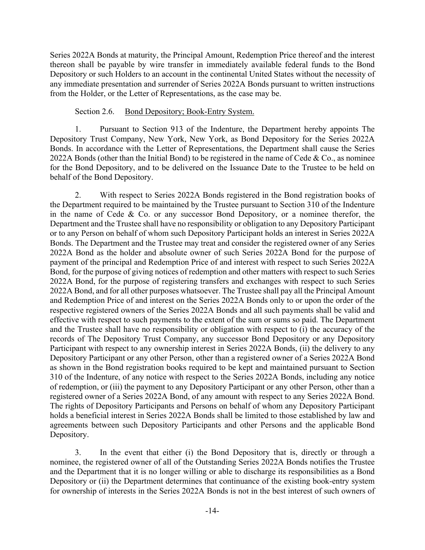Series 2022A Bonds at maturity, the Principal Amount, Redemption Price thereof and the interest thereon shall be payable by wire transfer in immediately available federal funds to the Bond Depository or such Holders to an account in the continental United States without the necessity of any immediate presentation and surrender of Series 2022A Bonds pursuant to written instructions from the Holder, or the Letter of Representations, as the case may be.

## Section 2.6. Bond Depository; Book-Entry System.

1. Pursuant to Section 913 of the Indenture, the Department hereby appoints The Depository Trust Company, New York, New York, as Bond Depository for the Series 2022A Bonds. In accordance with the Letter of Representations, the Department shall cause the Series 2022A Bonds (other than the Initial Bond) to be registered in the name of Cede & Co., as nominee for the Bond Depository, and to be delivered on the Issuance Date to the Trustee to be held on behalf of the Bond Depository.

2. With respect to Series 2022A Bonds registered in the Bond registration books of the Department required to be maintained by the Trustee pursuant to Section 310 of the Indenture in the name of Cede & Co. or any successor Bond Depository, or a nominee therefor, the Department and the Trustee shall have no responsibility or obligation to any Depository Participant or to any Person on behalf of whom such Depository Participant holds an interest in Series 2022A Bonds. The Department and the Trustee may treat and consider the registered owner of any Series 2022A Bond as the holder and absolute owner of such Series 2022A Bond for the purpose of payment of the principal and Redemption Price of and interest with respect to such Series 2022A Bond, for the purpose of giving notices of redemption and other matters with respect to such Series 2022A Bond, for the purpose of registering transfers and exchanges with respect to such Series 2022A Bond, and for all other purposes whatsoever. The Trustee shall pay all the Principal Amount and Redemption Price of and interest on the Series 2022A Bonds only to or upon the order of the respective registered owners of the Series 2022A Bonds and all such payments shall be valid and effective with respect to such payments to the extent of the sum or sums so paid. The Department and the Trustee shall have no responsibility or obligation with respect to (i) the accuracy of the records of The Depository Trust Company, any successor Bond Depository or any Depository Participant with respect to any ownership interest in Series 2022A Bonds, (ii) the delivery to any Depository Participant or any other Person, other than a registered owner of a Series 2022A Bond as shown in the Bond registration books required to be kept and maintained pursuant to Section 310 of the Indenture, of any notice with respect to the Series 2022A Bonds, including any notice of redemption, or (iii) the payment to any Depository Participant or any other Person, other than a registered owner of a Series 2022A Bond, of any amount with respect to any Series 2022A Bond. The rights of Depository Participants and Persons on behalf of whom any Depository Participant holds a beneficial interest in Series 2022A Bonds shall be limited to those established by law and agreements between such Depository Participants and other Persons and the applicable Bond Depository.

3. In the event that either (i) the Bond Depository that is, directly or through a nominee, the registered owner of all of the Outstanding Series 2022A Bonds notifies the Trustee and the Department that it is no longer willing or able to discharge its responsibilities as a Bond Depository or (ii) the Department determines that continuance of the existing book-entry system for ownership of interests in the Series 2022A Bonds is not in the best interest of such owners of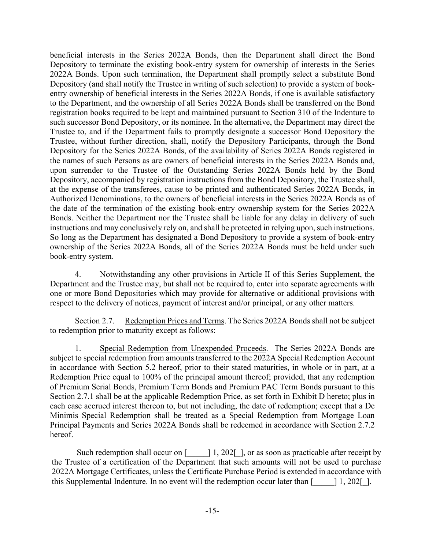beneficial interests in the Series 2022A Bonds, then the Department shall direct the Bond Depository to terminate the existing book-entry system for ownership of interests in the Series 2022A Bonds. Upon such termination, the Department shall promptly select a substitute Bond Depository (and shall notify the Trustee in writing of such selection) to provide a system of bookentry ownership of beneficial interests in the Series 2022A Bonds, if one is available satisfactory to the Department, and the ownership of all Series 2022A Bonds shall be transferred on the Bond registration books required to be kept and maintained pursuant to Section 310 of the Indenture to such successor Bond Depository, or its nominee. In the alternative, the Department may direct the Trustee to, and if the Department fails to promptly designate a successor Bond Depository the Trustee, without further direction, shall, notify the Depository Participants, through the Bond Depository for the Series 2022A Bonds, of the availability of Series 2022A Bonds registered in the names of such Persons as are owners of beneficial interests in the Series 2022A Bonds and, upon surrender to the Trustee of the Outstanding Series 2022A Bonds held by the Bond Depository, accompanied by registration instructions from the Bond Depository, the Trustee shall, at the expense of the transferees, cause to be printed and authenticated Series 2022A Bonds, in Authorized Denominations, to the owners of beneficial interests in the Series 2022A Bonds as of the date of the termination of the existing book-entry ownership system for the Series 2022A Bonds. Neither the Department nor the Trustee shall be liable for any delay in delivery of such instructions and may conclusively rely on, and shall be protected in relying upon, such instructions. So long as the Department has designated a Bond Depository to provide a system of book-entry ownership of the Series 2022A Bonds, all of the Series 2022A Bonds must be held under such book-entry system.

4. Notwithstanding any other provisions in Article II of this Series Supplement, the Department and the Trustee may, but shall not be required to, enter into separate agreements with one or more Bond Depositories which may provide for alternative or additional provisions with respect to the delivery of notices, payment of interest and/or principal, or any other matters.

Section 2.7. Redemption Prices and Terms. The Series 2022A Bonds shall not be subject to redemption prior to maturity except as follows:

1. Special Redemption from Unexpended Proceeds. The Series 2022A Bonds are subject to special redemption from amounts transferred to the 2022A Special Redemption Account in accordance with Section 5.2 hereof, prior to their stated maturities, in whole or in part, at a Redemption Price equal to 100% of the principal amount thereof; provided, that any redemption of Premium Serial Bonds, Premium Term Bonds and Premium PAC Term Bonds pursuant to this Section 2.7.1 shall be at the applicable Redemption Price, as set forth in Exhibit D hereto; plus in each case accrued interest thereon to, but not including, the date of redemption; except that a De Minimis Special Redemption shall be treated as a Special Redemption from Mortgage Loan Principal Payments and Series 2022A Bonds shall be redeemed in accordance with Section 2.7.2 hereof.

Such redemption shall occur on  $\lceil \frac{1}{202} \rceil$ , or as soon as practicable after receipt by the Trustee of a certification of the Department that such amounts will not be used to purchase 2022A Mortgage Certificates, unless the Certificate Purchase Period is extended in accordance with this Supplemental Indenture. In no event will the redemption occur later than  $\lceil \frac{1}{202} \rceil$ .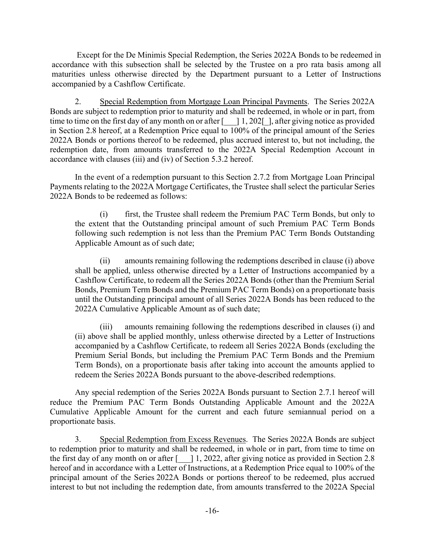Except for the De Minimis Special Redemption, the Series 2022A Bonds to be redeemed in accordance with this subsection shall be selected by the Trustee on a pro rata basis among all maturities unless otherwise directed by the Department pursuant to a Letter of Instructions accompanied by a Cashflow Certificate.

2. Special Redemption from Mortgage Loan Principal Payments. The Series 2022A Bonds are subject to redemption prior to maturity and shall be redeemed, in whole or in part, from time to time on the first day of any month on or after  $\lceil \quad | \quad 1, 202 \rceil$ , after giving notice as provided in Section 2.8 hereof, at a Redemption Price equal to 100% of the principal amount of the Series 2022A Bonds or portions thereof to be redeemed, plus accrued interest to, but not including, the redemption date, from amounts transferred to the 2022A Special Redemption Account in accordance with clauses (iii) and (iv) of Section 5.3.2 hereof.

In the event of a redemption pursuant to this Section 2.7.2 from Mortgage Loan Principal Payments relating to the 2022A Mortgage Certificates, the Trustee shall select the particular Series 2022A Bonds to be redeemed as follows:

(i) first, the Trustee shall redeem the Premium PAC Term Bonds, but only to the extent that the Outstanding principal amount of such Premium PAC Term Bonds following such redemption is not less than the Premium PAC Term Bonds Outstanding Applicable Amount as of such date;

(ii) amounts remaining following the redemptions described in clause (i) above shall be applied, unless otherwise directed by a Letter of Instructions accompanied by a Cashflow Certificate, to redeem all the Series 2022A Bonds (other than the Premium Serial Bonds, Premium Term Bonds and the Premium PAC Term Bonds) on a proportionate basis until the Outstanding principal amount of all Series 2022A Bonds has been reduced to the 2022A Cumulative Applicable Amount as of such date;

(iii) amounts remaining following the redemptions described in clauses (i) and (ii) above shall be applied monthly, unless otherwise directed by a Letter of Instructions accompanied by a Cashflow Certificate, to redeem all Series 2022A Bonds (excluding the Premium Serial Bonds, but including the Premium PAC Term Bonds and the Premium Term Bonds), on a proportionate basis after taking into account the amounts applied to redeem the Series 2022A Bonds pursuant to the above-described redemptions.

Any special redemption of the Series 2022A Bonds pursuant to Section 2.7.1 hereof will reduce the Premium PAC Term Bonds Outstanding Applicable Amount and the 2022A Cumulative Applicable Amount for the current and each future semiannual period on a proportionate basis.

3. Special Redemption from Excess Revenues. The Series 2022A Bonds are subject to redemption prior to maturity and shall be redeemed, in whole or in part, from time to time on the first day of any month on or after  $\lceil \quad \rceil$  1, 2022, after giving notice as provided in Section 2.8 hereof and in accordance with a Letter of Instructions, at a Redemption Price equal to 100% of the principal amount of the Series 2022A Bonds or portions thereof to be redeemed, plus accrued interest to but not including the redemption date, from amounts transferred to the 2022A Special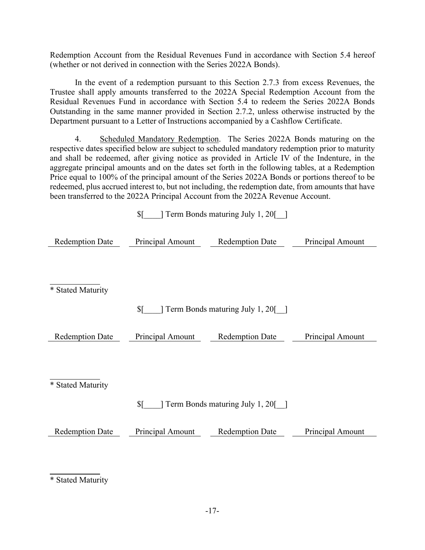Redemption Account from the Residual Revenues Fund in accordance with Section 5.4 hereof (whether or not derived in connection with the Series 2022A Bonds).

In the event of a redemption pursuant to this Section 2.7.3 from excess Revenues, the Trustee shall apply amounts transferred to the 2022A Special Redemption Account from the Residual Revenues Fund in accordance with Section 5.4 to redeem the Series 2022A Bonds Outstanding in the same manner provided in Section 2.7.2, unless otherwise instructed by the Department pursuant to a Letter of Instructions accompanied by a Cashflow Certificate.

4. Scheduled Mandatory Redemption. The Series 2022A Bonds maturing on the respective dates specified below are subject to scheduled mandatory redemption prior to maturity and shall be redeemed, after giving notice as provided in Article IV of the Indenture, in the aggregate principal amounts and on the dates set forth in the following tables, at a Redemption Price equal to 100% of the principal amount of the Series 2022A Bonds or portions thereof to be redeemed, plus accrued interest to, but not including, the redemption date, from amounts that have been transferred to the 2022A Principal Account from the 2022A Revenue Account.

|                        | Term Bonds maturing July 1, 20<br>\$[ |                                  |                  |  |  |
|------------------------|---------------------------------------|----------------------------------|------------------|--|--|
| <b>Redemption Date</b> | Principal Amount                      | <b>Redemption Date</b>           | Principal Amount |  |  |
|                        |                                       |                                  |                  |  |  |
| * Stated Maturity      |                                       |                                  |                  |  |  |
|                        | \$[                                   | Term Bonds maturing July 1, 20[] |                  |  |  |
| <b>Redemption Date</b> | Principal Amount                      | <b>Redemption Date</b>           | Principal Amount |  |  |
|                        |                                       |                                  |                  |  |  |
| * Stated Maturity      |                                       |                                  |                  |  |  |
|                        | \$[                                   | Term Bonds maturing July 1, 20[] |                  |  |  |
| <b>Redemption Date</b> | Principal Amount                      | <b>Redemption Date</b>           | Principal Amount |  |  |
|                        |                                       |                                  |                  |  |  |
|                        |                                       |                                  |                  |  |  |

\* Stated Maturity

 $\overline{a}$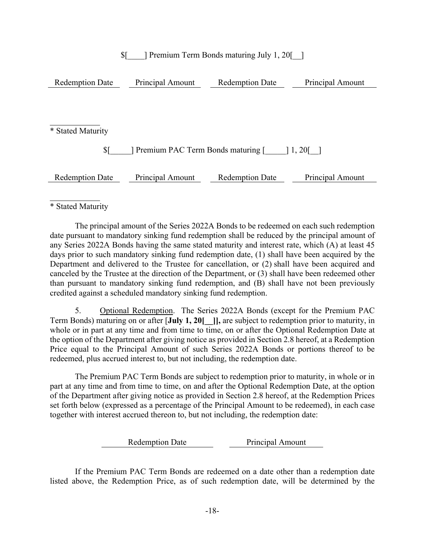## \$[\_\_\_\_] Premium Term Bonds maturing July 1, 20[\_\_]

| <b>Redemption Date</b><br>Principal Amount           |                  | <b>Redemption Date</b> | Principal Amount |  |  |
|------------------------------------------------------|------------------|------------------------|------------------|--|--|
|                                                      |                  |                        |                  |  |  |
|                                                      |                  |                        |                  |  |  |
|                                                      |                  |                        |                  |  |  |
| * Stated Maturity                                    |                  |                        |                  |  |  |
| \$ſ<br>Premium PAC Term Bonds maturing [<br>$1,20$ [ |                  |                        |                  |  |  |
| <b>Redemption Date</b>                               | Principal Amount | <b>Redemption Date</b> | Principal Amount |  |  |

 $\overline{a}$ \* Stated Maturity

The principal amount of the Series 2022A Bonds to be redeemed on each such redemption date pursuant to mandatory sinking fund redemption shall be reduced by the principal amount of any Series 2022A Bonds having the same stated maturity and interest rate, which (A) at least 45 days prior to such mandatory sinking fund redemption date, (1) shall have been acquired by the Department and delivered to the Trustee for cancellation, or (2) shall have been acquired and canceled by the Trustee at the direction of the Department, or (3) shall have been redeemed other than pursuant to mandatory sinking fund redemption, and (B) shall have not been previously credited against a scheduled mandatory sinking fund redemption.

5. Optional Redemption. The Series 2022A Bonds (except for the Premium PAC Term Bonds) maturing on or after [**July 1, 20[\_\_]],** are subject to redemption prior to maturity, in whole or in part at any time and from time to time, on or after the Optional Redemption Date at the option of the Department after giving notice as provided in Section 2.8 hereof, at a Redemption Price equal to the Principal Amount of such Series 2022A Bonds or portions thereof to be redeemed, plus accrued interest to, but not including, the redemption date.

The Premium PAC Term Bonds are subject to redemption prior to maturity, in whole or in part at any time and from time to time, on and after the Optional Redemption Date, at the option of the Department after giving notice as provided in Section 2.8 hereof, at the Redemption Prices set forth below (expressed as a percentage of the Principal Amount to be redeemed), in each case together with interest accrued thereon to, but not including, the redemption date:

> Redemption Date Principal Amount

If the Premium PAC Term Bonds are redeemed on a date other than a redemption date listed above, the Redemption Price, as of such redemption date, will be determined by the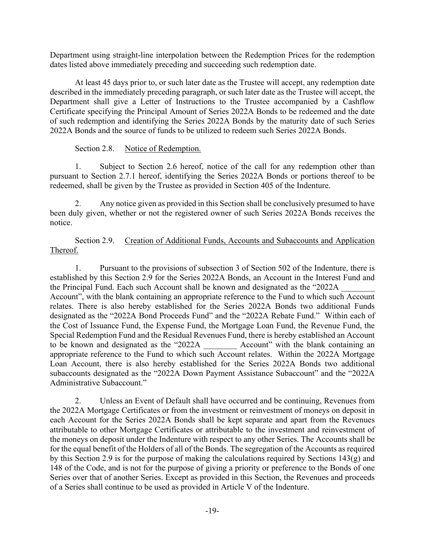Department using straight-line interpolation between the Redemption Prices for the redemption dates listed above immediately preceding and succeeding such redemption date.

At least 45 days prior to, or such later date as the Trustee will accept, any redemption date described in the immediately preceding paragraph, or such later date as the Trustee will accept, the Department shall give a Letter of Instructions to the Trustee accompanied by a Cashflow Certificate specifying the Principal Amount of Series 2022A Bonds to be redeemed and the date of such redemption and identifying the Series 2022A Bonds by the maturity date of such Series 2022A Bonds and the source of funds to be utilized to redeem such Series 2022A Bonds.

## Section 2.8. Notice of Redemption.

1. Subject to Section 2.6 hereof, notice of the call for any redemption other than pursuant to Section 2.7.1 hereof, identifying the Series 2022A Bonds or portions thereof to be redeemed, shall be given by the Trustee as provided in Section 405 of the Indenture.

2. Any notice given as provided in this Section shall be conclusively presumed to have been duly given, whether or not the registered owner of such Series 2022A Bonds receives the notice.

Section 2.9. Creation of Additional Funds, Accounts and Subaccounts and Application Thereof.

1. Pursuant to the provisions of subsection 3 of Section 502 of the Indenture, there is established by this Section 2.9 for the Series 2022A Bonds, an Account in the Interest Fund and the Principal Fund. Each such Account shall be known and designated as the "2022A Account", with the blank containing an appropriate reference to the Fund to which such Account relates. There is also hereby established for the Series 2022A Bonds two additional Funds designated as the "2022A Bond Proceeds Fund" and the "2022A Rebate Fund." Within each of the Cost of Issuance Fund, the Expense Fund, the Mortgage Loan Fund, the Revenue Fund, the Special Redemption Fund and the Residual Revenues Fund, there is hereby established an Account to be known and designated as the "2022A \_\_\_\_\_\_\_\_ Account" with the blank containing an appropriate reference to the Fund to which such Account relates. Within the 2022A Mortgage Loan Account, there is also hereby established for the Series 2022A Bonds two additional subaccounts designated as the "2022A Down Payment Assistance Subaccount" and the "2022A Administrative Subaccount."

2. Unless an Event of Default shall have occurred and be continuing, Revenues from the 2022A Mortgage Certificates or from the investment or reinvestment of moneys on deposit in each Account for the Series 2022A Bonds shall be kept separate and apart from the Revenues attributable to other Mortgage Certificates or attributable to the investment and reinvestment of the moneys on deposit under the Indenture with respect to any other Series. The Accounts shall be for the equal benefit of the Holders of all of the Bonds. The segregation of the Accounts as required by this Section 2.9 is for the purpose of making the calculations required by Sections 143(g) and 148 of the Code, and is not for the purpose of giving a priority or preference to the Bonds of one Series over that of another Series. Except as provided in this Section, the Revenues and proceeds of a Series shall continue to be used as provided in Article V of the Indenture.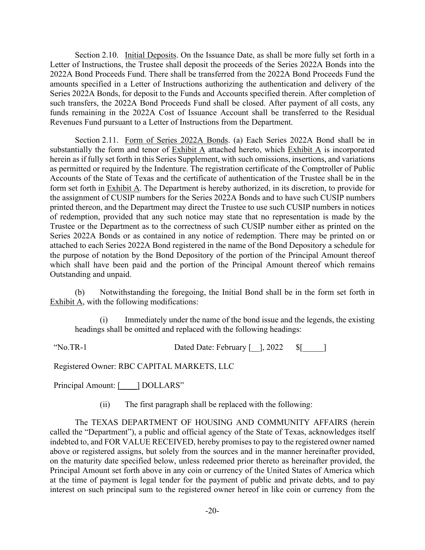Section 2.10. Initial Deposits. On the Issuance Date, as shall be more fully set forth in a Letter of Instructions, the Trustee shall deposit the proceeds of the Series 2022A Bonds into the 2022A Bond Proceeds Fund. There shall be transferred from the 2022A Bond Proceeds Fund the amounts specified in a Letter of Instructions authorizing the authentication and delivery of the Series 2022A Bonds, for deposit to the Funds and Accounts specified therein. After completion of such transfers, the 2022A Bond Proceeds Fund shall be closed. After payment of all costs, any funds remaining in the 2022A Cost of Issuance Account shall be transferred to the Residual Revenues Fund pursuant to a Letter of Instructions from the Department.

Section 2.11. Form of Series 2022A Bonds. (a) Each Series 2022A Bond shall be in substantially the form and tenor of Exhibit A attached hereto, which Exhibit A is incorporated herein as if fully set forth in this Series Supplement, with such omissions, insertions, and variations as permitted or required by the Indenture. The registration certificate of the Comptroller of Public Accounts of the State of Texas and the certificate of authentication of the Trustee shall be in the form set forth in Exhibit A. The Department is hereby authorized, in its discretion, to provide for the assignment of CUSIP numbers for the Series 2022A Bonds and to have such CUSIP numbers printed thereon, and the Department may direct the Trustee to use such CUSIP numbers in notices of redemption, provided that any such notice may state that no representation is made by the Trustee or the Department as to the correctness of such CUSIP number either as printed on the Series 2022A Bonds or as contained in any notice of redemption. There may be printed on or attached to each Series 2022A Bond registered in the name of the Bond Depository a schedule for the purpose of notation by the Bond Depository of the portion of the Principal Amount thereof which shall have been paid and the portion of the Principal Amount thereof which remains Outstanding and unpaid.

(b) Notwithstanding the foregoing, the Initial Bond shall be in the form set forth in Exhibit A, with the following modifications:

Immediately under the name of the bond issue and the legends, the existing headings shall be omitted and replaced with the following headings:

"No.TR-1 Dated Date: February [ \_ ], 2022 \$[\_\_\_\_\_]

Registered Owner: RBC CAPITAL MARKETS, LLC

Principal Amount: [ \_\_\_ ] DOLLARS"

(ii) The first paragraph shall be replaced with the following:

The TEXAS DEPARTMENT OF HOUSING AND COMMUNITY AFFAIRS (herein called the "Department"), a public and official agency of the State of Texas, acknowledges itself indebted to, and FOR VALUE RECEIVED, hereby promises to pay to the registered owner named above or registered assigns, but solely from the sources and in the manner hereinafter provided, on the maturity date specified below, unless redeemed prior thereto as hereinafter provided, the Principal Amount set forth above in any coin or currency of the United States of America which at the time of payment is legal tender for the payment of public and private debts, and to pay interest on such principal sum to the registered owner hereof in like coin or currency from the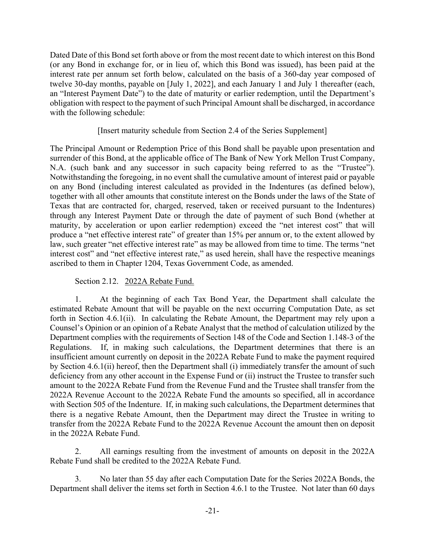Dated Date of this Bond set forth above or from the most recent date to which interest on this Bond (or any Bond in exchange for, or in lieu of, which this Bond was issued), has been paid at the interest rate per annum set forth below, calculated on the basis of a 360-day year composed of twelve 30-day months, payable on [July 1, 2022], and each January 1 and July 1 thereafter (each, an "Interest Payment Date") to the date of maturity or earlier redemption, until the Department's obligation with respect to the payment of such Principal Amount shall be discharged, in accordance with the following schedule:

## [Insert maturity schedule from Section 2.4 of the Series Supplement]

The Principal Amount or Redemption Price of this Bond shall be payable upon presentation and surrender of this Bond, at the applicable office of The Bank of New York Mellon Trust Company, N.A. (such bank and any successor in such capacity being referred to as the "Trustee"). Notwithstanding the foregoing, in no event shall the cumulative amount of interest paid or payable on any Bond (including interest calculated as provided in the Indentures (as defined below), together with all other amounts that constitute interest on the Bonds under the laws of the State of Texas that are contracted for, charged, reserved, taken or received pursuant to the Indentures) through any Interest Payment Date or through the date of payment of such Bond (whether at maturity, by acceleration or upon earlier redemption) exceed the "net interest cost" that will produce a "net effective interest rate" of greater than 15% per annum or, to the extent allowed by law, such greater "net effective interest rate" as may be allowed from time to time. The terms "net interest cost" and "net effective interest rate," as used herein, shall have the respective meanings ascribed to them in Chapter 1204, Texas Government Code, as amended.

## Section 2.12. 2022A Rebate Fund.

1. At the beginning of each Tax Bond Year, the Department shall calculate the estimated Rebate Amount that will be payable on the next occurring Computation Date, as set forth in Section 4.6.1(ii). In calculating the Rebate Amount, the Department may rely upon a Counsel's Opinion or an opinion of a Rebate Analyst that the method of calculation utilized by the Department complies with the requirements of Section 148 of the Code and Section 1.148-3 of the Regulations. If, in making such calculations, the Department determines that there is an insufficient amount currently on deposit in the 2022A Rebate Fund to make the payment required by Section 4.6.1(ii) hereof, then the Department shall (i) immediately transfer the amount of such deficiency from any other account in the Expense Fund or (ii) instruct the Trustee to transfer such amount to the 2022A Rebate Fund from the Revenue Fund and the Trustee shall transfer from the 2022A Revenue Account to the 2022A Rebate Fund the amounts so specified, all in accordance with Section 505 of the Indenture. If, in making such calculations, the Department determines that there is a negative Rebate Amount, then the Department may direct the Trustee in writing to transfer from the 2022A Rebate Fund to the 2022A Revenue Account the amount then on deposit in the 2022A Rebate Fund.

2. All earnings resulting from the investment of amounts on deposit in the 2022A Rebate Fund shall be credited to the 2022A Rebate Fund.

3. No later than 55 day after each Computation Date for the Series 2022A Bonds, the Department shall deliver the items set forth in Section 4.6.1 to the Trustee. Not later than 60 days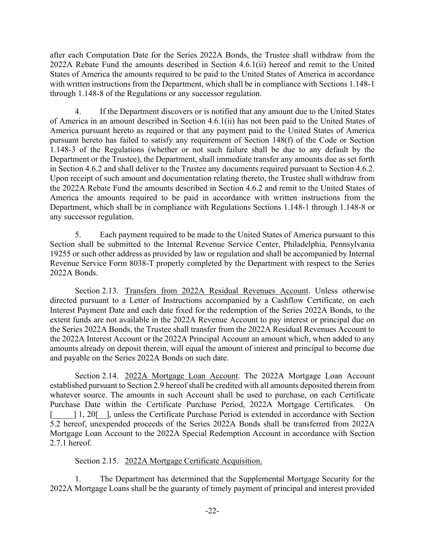after each Computation Date for the Series 2022A Bonds, the Trustee shall withdraw from the 2022A Rebate Fund the amounts described in Section 4.6.1(ii) hereof and remit to the United States of America the amounts required to be paid to the United States of America in accordance with written instructions from the Department, which shall be in compliance with Sections 1.148-1 through 1.148-8 of the Regulations or any successor regulation.

4. If the Department discovers or is notified that any amount due to the United States of America in an amount described in Section 4.6.1(ii) has not been paid to the United States of America pursuant hereto as required or that any payment paid to the United States of America pursuant hereto has failed to satisfy any requirement of Section 148(f) of the Code or Section 1.148-3 of the Regulations (whether or not such failure shall be due to any default by the Department or the Trustee), the Department, shall immediate transfer any amounts due as set forth in Section 4.6.2 and shall deliver to the Trustee any documents required pursuant to Section 4.6.2. Upon receipt of such amount and documentation relating thereto, the Trustee shall withdraw from the 2022A Rebate Fund the amounts described in Section 4.6.2 and remit to the United States of America the amounts required to be paid in accordance with written instructions from the Department, which shall be in compliance with Regulations Sections 1.148-1 through 1.148-8 or any successor regulation.

5. Each payment required to be made to the United States of America pursuant to this Section shall be submitted to the Internal Revenue Service Center, Philadelphia, Pennsylvania 19255 or such other address as provided by law or regulation and shall be accompanied by Internal Revenue Service Form 8038-T properly completed by the Department with respect to the Series 2022A Bonds.

Section 2.13. Transfers from 2022A Residual Revenues Account. Unless otherwise directed pursuant to a Letter of Instructions accompanied by a Cashflow Certificate, on each Interest Payment Date and each date fixed for the redemption of the Series 2022A Bonds, to the extent funds are not available in the 2022A Revenue Account to pay interest or principal due on the Series 2022A Bonds, the Trustee shall transfer from the 2022A Residual Revenues Account to the 2022A Interest Account or the 2022A Principal Account an amount which, when added to any amounts already on deposit therein, will equal the amount of interest and principal to become due and payable on the Series 2022A Bonds on such date.

Section 2.14. 2022A Mortgage Loan Account. The 2022A Mortgage Loan Account established pursuant to Section 2.9 hereof shall be credited with all amounts deposited therein from whatever source. The amounts in such Account shall be used to purchase, on each Certificate Purchase Date within the Certificate Purchase Period, 2022A Mortgage Certificates. On [1, 20]. I, unless the Certificate Purchase Period is extended in accordance with Section 5.2 hereof, unexpended proceeds of the Series 2022A Bonds shall be transferred from 2022A Mortgage Loan Account to the 2022A Special Redemption Account in accordance with Section 2.7.1 hereof.

## Section 2.15. 2022A Mortgage Certificate Acquisition.

1. The Department has determined that the Supplemental Mortgage Security for the 2022A Mortgage Loans shall be the guaranty of timely payment of principal and interest provided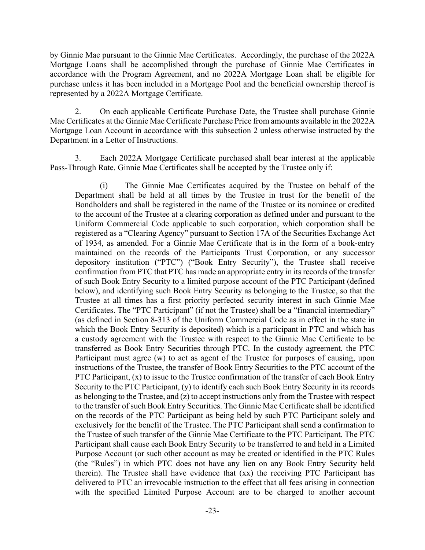by Ginnie Mae pursuant to the Ginnie Mae Certificates. Accordingly, the purchase of the 2022A Mortgage Loans shall be accomplished through the purchase of Ginnie Mae Certificates in accordance with the Program Agreement, and no 2022A Mortgage Loan shall be eligible for purchase unless it has been included in a Mortgage Pool and the beneficial ownership thereof is represented by a 2022A Mortgage Certificate.

2. On each applicable Certificate Purchase Date, the Trustee shall purchase Ginnie Mae Certificates at the Ginnie Mae Certificate Purchase Price from amounts available in the 2022A Mortgage Loan Account in accordance with this subsection 2 unless otherwise instructed by the Department in a Letter of Instructions.

3. Each 2022A Mortgage Certificate purchased shall bear interest at the applicable Pass-Through Rate. Ginnie Mae Certificates shall be accepted by the Trustee only if:

(i) The Ginnie Mae Certificates acquired by the Trustee on behalf of the Department shall be held at all times by the Trustee in trust for the benefit of the Bondholders and shall be registered in the name of the Trustee or its nominee or credited to the account of the Trustee at a clearing corporation as defined under and pursuant to the Uniform Commercial Code applicable to such corporation, which corporation shall be registered as a "Clearing Agency" pursuant to Section 17A of the Securities Exchange Act of 1934, as amended. For a Ginnie Mae Certificate that is in the form of a book-entry maintained on the records of the Participants Trust Corporation, or any successor depository institution ("PTC") ("Book Entry Security"), the Trustee shall receive confirmation from PTC that PTC has made an appropriate entry in its records of the transfer of such Book Entry Security to a limited purpose account of the PTC Participant (defined below), and identifying such Book Entry Security as belonging to the Trustee, so that the Trustee at all times has a first priority perfected security interest in such Ginnie Mae Certificates. The "PTC Participant" (if not the Trustee) shall be a "financial intermediary" (as defined in Section 8-313 of the Uniform Commercial Code as in effect in the state in which the Book Entry Security is deposited) which is a participant in PTC and which has a custody agreement with the Trustee with respect to the Ginnie Mae Certificate to be transferred as Book Entry Securities through PTC. In the custody agreement, the PTC Participant must agree (w) to act as agent of the Trustee for purposes of causing, upon instructions of the Trustee, the transfer of Book Entry Securities to the PTC account of the PTC Participant, (x) to issue to the Trustee confirmation of the transfer of each Book Entry Security to the PTC Participant, (y) to identify each such Book Entry Security in its records as belonging to the Trustee, and  $(z)$  to accept instructions only from the Trustee with respect to the transfer of such Book Entry Securities. The Ginnie Mae Certificate shall be identified on the records of the PTC Participant as being held by such PTC Participant solely and exclusively for the benefit of the Trustee. The PTC Participant shall send a confirmation to the Trustee of such transfer of the Ginnie Mae Certificate to the PTC Participant. The PTC Participant shall cause each Book Entry Security to be transferred to and held in a Limited Purpose Account (or such other account as may be created or identified in the PTC Rules (the "Rules") in which PTC does not have any lien on any Book Entry Security held therein). The Trustee shall have evidence that (xx) the receiving PTC Participant has delivered to PTC an irrevocable instruction to the effect that all fees arising in connection with the specified Limited Purpose Account are to be charged to another account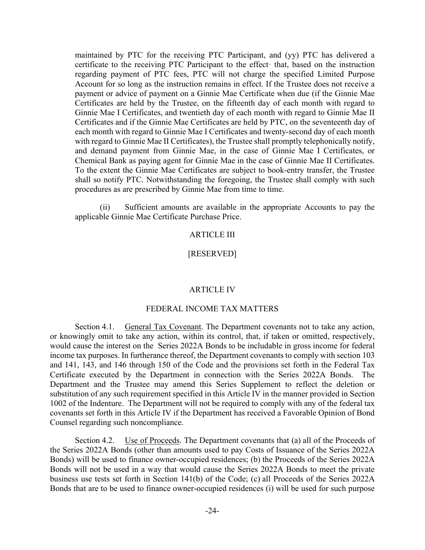maintained by PTC for the receiving PTC Participant, and (yy) PTC has delivered a certificate to the receiving PTC Participant to the effect that, based on the instruction regarding payment of PTC fees, PTC will not charge the specified Limited Purpose Account for so long as the instruction remains in effect. If the Trustee does not receive a payment or advice of payment on a Ginnie Mae Certificate when due (if the Ginnie Mae Certificates are held by the Trustee, on the fifteenth day of each month with regard to Ginnie Mae I Certificates, and twentieth day of each month with regard to Ginnie Mae II Certificates and if the Ginnie Mae Certificates are held by PTC, on the seventeenth day of each month with regard to Ginnie Mae I Certificates and twenty-second day of each month with regard to Ginnie Mae II Certificates), the Trustee shall promptly telephonically notify, and demand payment from Ginnie Mae, in the case of Ginnie Mae I Certificates, or Chemical Bank as paying agent for Ginnie Mae in the case of Ginnie Mae II Certificates. To the extent the Ginnie Mae Certificates are subject to book-entry transfer, the Trustee shall so notify PTC. Notwithstanding the foregoing, the Trustee shall comply with such procedures as are prescribed by Ginnie Mae from time to time.

(ii) Sufficient amounts are available in the appropriate Accounts to pay the applicable Ginnie Mae Certificate Purchase Price.

### ARTICLE III

#### [RESERVED]

#### ARTICLE IV

#### FEDERAL INCOME TAX MATTERS

Section 4.1. General Tax Covenant. The Department covenants not to take any action, or knowingly omit to take any action, within its control, that, if taken or omitted, respectively, would cause the interest on the Series 2022A Bonds to be includable in gross income for federal income tax purposes. In furtherance thereof, the Department covenants to comply with section 103 and 141, 143, and 146 through 150 of the Code and the provisions set forth in the Federal Tax Certificate executed by the Department in connection with the Series 2022A Bonds. The Department and the Trustee may amend this Series Supplement to reflect the deletion or substitution of any such requirement specified in this Article IV in the manner provided in Section 1002 of the Indenture. The Department will not be required to comply with any of the federal tax covenants set forth in this Article IV if the Department has received a Favorable Opinion of Bond Counsel regarding such noncompliance.

Section 4.2. Use of Proceeds. The Department covenants that (a) all of the Proceeds of the Series 2022A Bonds (other than amounts used to pay Costs of Issuance of the Series 2022A Bonds) will be used to finance owner-occupied residences; (b) the Proceeds of the Series 2022A Bonds will not be used in a way that would cause the Series 2022A Bonds to meet the private business use tests set forth in Section 141(b) of the Code; (c) all Proceeds of the Series 2022A Bonds that are to be used to finance owner-occupied residences (i) will be used for such purpose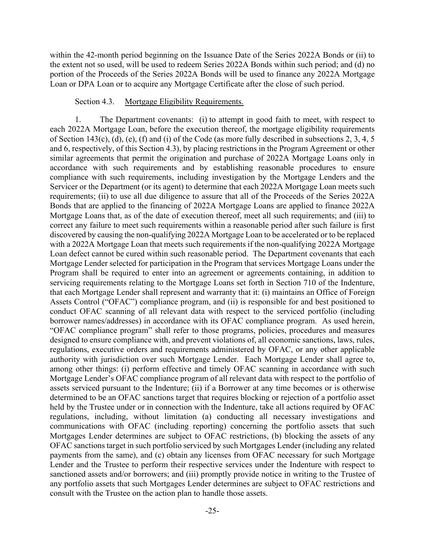within the 42-month period beginning on the Issuance Date of the Series 2022A Bonds or (ii) to the extent not so used, will be used to redeem Series 2022A Bonds within such period; and (d) no portion of the Proceeds of the Series 2022A Bonds will be used to finance any 2022A Mortgage Loan or DPA Loan or to acquire any Mortgage Certificate after the close of such period.

#### Section 4.3. Mortgage Eligibility Requirements.

1. The Department covenants: (i) to attempt in good faith to meet, with respect to each 2022A Mortgage Loan, before the execution thereof, the mortgage eligibility requirements of Section 143(c), (d), (e), (f) and (i) of the Code (as more fully described in subsections 2, 3, 4, 5 and 6, respectively, of this Section 4.3), by placing restrictions in the Program Agreement or other similar agreements that permit the origination and purchase of 2022A Mortgage Loans only in accordance with such requirements and by establishing reasonable procedures to ensure compliance with such requirements, including investigation by the Mortgage Lenders and the Servicer or the Department (or its agent) to determine that each 2022A Mortgage Loan meets such requirements; (ii) to use all due diligence to assure that all of the Proceeds of the Series 2022A Bonds that are applied to the financing of 2022A Mortgage Loans are applied to finance 2022A Mortgage Loans that, as of the date of execution thereof, meet all such requirements; and (iii) to correct any failure to meet such requirements within a reasonable period after such failure is first discovered by causing the non-qualifying 2022A Mortgage Loan to be accelerated or to be replaced with a 2022A Mortgage Loan that meets such requirements if the non-qualifying 2022A Mortgage Loan defect cannot be cured within such reasonable period. The Department covenants that each Mortgage Lender selected for participation in the Program that services Mortgage Loans under the Program shall be required to enter into an agreement or agreements containing, in addition to servicing requirements relating to the Mortgage Loans set forth in Section 710 of the Indenture, that each Mortgage Lender shall represent and warranty that it: (i) maintains an Office of Foreign Assets Control ("OFAC") compliance program, and (ii) is responsible for and best positioned to conduct OFAC scanning of all relevant data with respect to the serviced portfolio (including borrower names/addresses) in accordance with its OFAC compliance program. As used herein, "OFAC compliance program" shall refer to those programs, policies, procedures and measures designed to ensure compliance with, and prevent violations of, all economic sanctions, laws, rules, regulations, executive orders and requirements administered by OFAC, or any other applicable authority with jurisdiction over such Mortgage Lender. Each Mortgage Lender shall agree to, among other things: (i) perform effective and timely OFAC scanning in accordance with such Mortgage Lender's OFAC compliance program of all relevant data with respect to the portfolio of assets serviced pursuant to the Indenture; (ii) if a Borrower at any time becomes or is otherwise determined to be an OFAC sanctions target that requires blocking or rejection of a portfolio asset held by the Trustee under or in connection with the Indenture, take all actions required by OFAC regulations, including, without limitation (a) conducting all necessary investigations and communications with OFAC (including reporting) concerning the portfolio assets that such Mortgages Lender determines are subject to OFAC restrictions, (b) blocking the assets of any OFAC sanctions target in such portfolio serviced by such Mortgages Lender (including any related payments from the same), and (c) obtain any licenses from OFAC necessary for such Mortgage Lender and the Trustee to perform their respective services under the Indenture with respect to sanctioned assets and/or borrowers; and (iii) promptly provide notice in writing to the Trustee of any portfolio assets that such Mortgages Lender determines are subject to OFAC restrictions and consult with the Trustee on the action plan to handle those assets.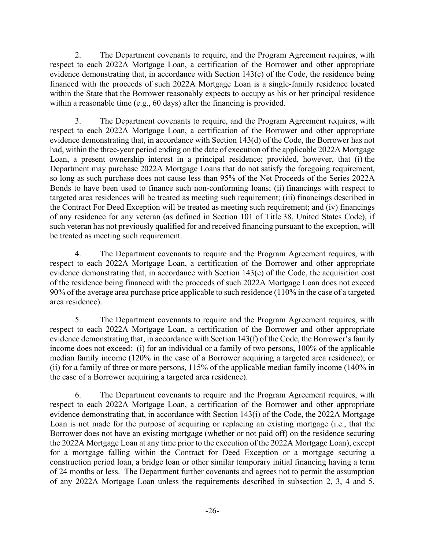2. The Department covenants to require, and the Program Agreement requires, with respect to each 2022A Mortgage Loan, a certification of the Borrower and other appropriate evidence demonstrating that, in accordance with Section 143(c) of the Code, the residence being financed with the proceeds of such 2022A Mortgage Loan is a single-family residence located within the State that the Borrower reasonably expects to occupy as his or her principal residence within a reasonable time (e.g., 60 days) after the financing is provided.

3. The Department covenants to require, and the Program Agreement requires, with respect to each 2022A Mortgage Loan, a certification of the Borrower and other appropriate evidence demonstrating that, in accordance with Section 143(d) of the Code, the Borrower has not had, within the three-year period ending on the date of execution of the applicable 2022A Mortgage Loan, a present ownership interest in a principal residence; provided, however, that (i) the Department may purchase 2022A Mortgage Loans that do not satisfy the foregoing requirement, so long as such purchase does not cause less than 95% of the Net Proceeds of the Series 2022A Bonds to have been used to finance such non-conforming loans; (ii) financings with respect to targeted area residences will be treated as meeting such requirement; (iii) financings described in the Contract For Deed Exception will be treated as meeting such requirement; and (iv) financings of any residence for any veteran (as defined in Section 101 of Title 38, United States Code), if such veteran has not previously qualified for and received financing pursuant to the exception, will be treated as meeting such requirement.

4. The Department covenants to require and the Program Agreement requires, with respect to each 2022A Mortgage Loan, a certification of the Borrower and other appropriate evidence demonstrating that, in accordance with Section 143(e) of the Code, the acquisition cost of the residence being financed with the proceeds of such 2022A Mortgage Loan does not exceed 90% of the average area purchase price applicable to such residence (110% in the case of a targeted area residence).

5. The Department covenants to require and the Program Agreement requires, with respect to each 2022A Mortgage Loan, a certification of the Borrower and other appropriate evidence demonstrating that, in accordance with Section 143(f) of the Code, the Borrower's family income does not exceed: (i) for an individual or a family of two persons, 100% of the applicable median family income (120% in the case of a Borrower acquiring a targeted area residence); or (ii) for a family of three or more persons, 115% of the applicable median family income (140% in the case of a Borrower acquiring a targeted area residence).

6. The Department covenants to require and the Program Agreement requires, with respect to each 2022A Mortgage Loan, a certification of the Borrower and other appropriate evidence demonstrating that, in accordance with Section 143(i) of the Code, the 2022A Mortgage Loan is not made for the purpose of acquiring or replacing an existing mortgage (i.e., that the Borrower does not have an existing mortgage (whether or not paid off) on the residence securing the 2022A Mortgage Loan at any time prior to the execution of the 2022A Mortgage Loan), except for a mortgage falling within the Contract for Deed Exception or a mortgage securing a construction period loan, a bridge loan or other similar temporary initial financing having a term of 24 months or less. The Department further covenants and agrees not to permit the assumption of any 2022A Mortgage Loan unless the requirements described in subsection 2, 3, 4 and 5,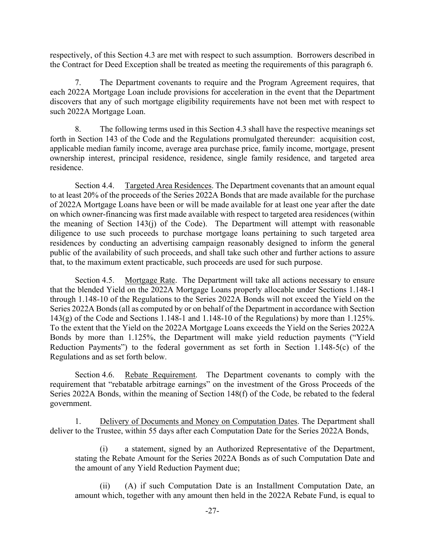respectively, of this Section 4.3 are met with respect to such assumption. Borrowers described in the Contract for Deed Exception shall be treated as meeting the requirements of this paragraph 6.

7. The Department covenants to require and the Program Agreement requires, that each 2022A Mortgage Loan include provisions for acceleration in the event that the Department discovers that any of such mortgage eligibility requirements have not been met with respect to such 2022A Mortgage Loan.

8. The following terms used in this Section 4.3 shall have the respective meanings set forth in Section 143 of the Code and the Regulations promulgated thereunder: acquisition cost, applicable median family income, average area purchase price, family income, mortgage, present ownership interest, principal residence, residence, single family residence, and targeted area residence.

Section 4.4. Targeted Area Residences. The Department covenants that an amount equal to at least 20% of the proceeds of the Series 2022A Bonds that are made available for the purchase of 2022A Mortgage Loans have been or will be made available for at least one year after the date on which owner-financing was first made available with respect to targeted area residences (within the meaning of Section 143(j) of the Code). The Department will attempt with reasonable diligence to use such proceeds to purchase mortgage loans pertaining to such targeted area residences by conducting an advertising campaign reasonably designed to inform the general public of the availability of such proceeds, and shall take such other and further actions to assure that, to the maximum extent practicable, such proceeds are used for such purpose.

Section 4.5. Mortgage Rate. The Department will take all actions necessary to ensure that the blended Yield on the 2022A Mortgage Loans properly allocable under Sections 1.148-1 through 1.148-10 of the Regulations to the Series 2022A Bonds will not exceed the Yield on the Series 2022A Bonds (all as computed by or on behalf of the Department in accordance with Section 143(g) of the Code and Sections 1.148-1 and 1.148-10 of the Regulations) by more than 1.125%. To the extent that the Yield on the 2022A Mortgage Loans exceeds the Yield on the Series 2022A Bonds by more than 1.125%, the Department will make yield reduction payments ("Yield Reduction Payments") to the federal government as set forth in Section 1.148-5(c) of the Regulations and as set forth below.

Section 4.6. Rebate Requirement. The Department covenants to comply with the requirement that "rebatable arbitrage earnings" on the investment of the Gross Proceeds of the Series 2022A Bonds, within the meaning of Section 148(f) of the Code, be rebated to the federal government.

1. Delivery of Documents and Money on Computation Dates. The Department shall deliver to the Trustee, within 55 days after each Computation Date for the Series 2022A Bonds,

(i) a statement, signed by an Authorized Representative of the Department, stating the Rebate Amount for the Series 2022A Bonds as of such Computation Date and the amount of any Yield Reduction Payment due;

(ii) (A) if such Computation Date is an Installment Computation Date, an amount which, together with any amount then held in the 2022A Rebate Fund, is equal to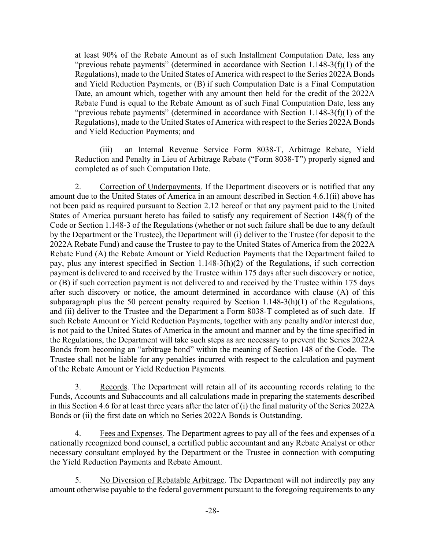at least 90% of the Rebate Amount as of such Installment Computation Date, less any "previous rebate payments" (determined in accordance with Section 1.148-3(f)(1) of the Regulations), made to the United States of America with respect to the Series 2022A Bonds and Yield Reduction Payments, or (B) if such Computation Date is a Final Computation Date, an amount which, together with any amount then held for the credit of the 2022A Rebate Fund is equal to the Rebate Amount as of such Final Computation Date, less any "previous rebate payments" (determined in accordance with Section 1.148-3(f)(1) of the Regulations), made to the United States of America with respect to the Series 2022A Bonds and Yield Reduction Payments; and

(iii) an Internal Revenue Service Form 8038-T, Arbitrage Rebate, Yield Reduction and Penalty in Lieu of Arbitrage Rebate ("Form 8038-T") properly signed and completed as of such Computation Date.

2. Correction of Underpayments. If the Department discovers or is notified that any amount due to the United States of America in an amount described in Section 4.6.1(ii) above has not been paid as required pursuant to Section 2.12 hereof or that any payment paid to the United States of America pursuant hereto has failed to satisfy any requirement of Section 148(f) of the Code or Section 1.148-3 of the Regulations (whether or not such failure shall be due to any default by the Department or the Trustee), the Department will (i) deliver to the Trustee (for deposit to the 2022A Rebate Fund) and cause the Trustee to pay to the United States of America from the 2022A Rebate Fund (A) the Rebate Amount or Yield Reduction Payments that the Department failed to pay, plus any interest specified in Section 1.148-3(h)(2) of the Regulations, if such correction payment is delivered to and received by the Trustee within 175 days after such discovery or notice, or (B) if such correction payment is not delivered to and received by the Trustee within 175 days after such discovery or notice, the amount determined in accordance with clause (A) of this subparagraph plus the 50 percent penalty required by Section 1.148-3(h)(1) of the Regulations, and (ii) deliver to the Trustee and the Department a Form 8038-T completed as of such date. If such Rebate Amount or Yield Reduction Payments, together with any penalty and/or interest due, is not paid to the United States of America in the amount and manner and by the time specified in the Regulations, the Department will take such steps as are necessary to prevent the Series 2022A Bonds from becoming an "arbitrage bond" within the meaning of Section 148 of the Code. The Trustee shall not be liable for any penalties incurred with respect to the calculation and payment of the Rebate Amount or Yield Reduction Payments.

3. Records. The Department will retain all of its accounting records relating to the Funds, Accounts and Subaccounts and all calculations made in preparing the statements described in this Section 4.6 for at least three years after the later of (i) the final maturity of the Series 2022A Bonds or (ii) the first date on which no Series 2022A Bonds is Outstanding.

4. Fees and Expenses. The Department agrees to pay all of the fees and expenses of a nationally recognized bond counsel, a certified public accountant and any Rebate Analyst or other necessary consultant employed by the Department or the Trustee in connection with computing the Yield Reduction Payments and Rebate Amount.

5. No Diversion of Rebatable Arbitrage. The Department will not indirectly pay any amount otherwise payable to the federal government pursuant to the foregoing requirements to any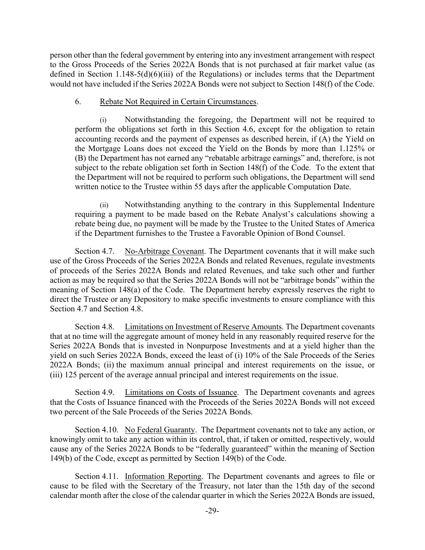person other than the federal government by entering into any investment arrangement with respect to the Gross Proceeds of the Series 2022A Bonds that is not purchased at fair market value (as defined in Section 1.148-5(d)(6)(iii) of the Regulations) or includes terms that the Department would not have included if the Series 2022A Bonds were not subject to Section 148(f) of the Code.

## 6. Rebate Not Required in Certain Circumstances.

(i) Notwithstanding the foregoing, the Department will not be required to perform the obligations set forth in this Section 4.6, except for the obligation to retain accounting records and the payment of expenses as described herein, if (A) the Yield on the Mortgage Loans does not exceed the Yield on the Bonds by more than 1.125% or (B) the Department has not earned any "rebatable arbitrage earnings" and, therefore, is not subject to the rebate obligation set forth in Section 148(f) of the Code. To the extent that the Department will not be required to perform such obligations, the Department will send written notice to the Trustee within 55 days after the applicable Computation Date.

(ii) Notwithstanding anything to the contrary in this Supplemental Indenture requiring a payment to be made based on the Rebate Analyst's calculations showing a rebate being due, no payment will be made by the Trustee to the United States of America if the Department furnishes to the Trustee a Favorable Opinion of Bond Counsel.

Section 4.7. No-Arbitrage Covenant. The Department covenants that it will make such use of the Gross Proceeds of the Series 2022A Bonds and related Revenues, regulate investments of proceeds of the Series 2022A Bonds and related Revenues, and take such other and further action as may be required so that the Series 2022A Bonds will not be "arbitrage bonds" within the meaning of Section 148(a) of the Code. The Department hereby expressly reserves the right to direct the Trustee or any Depository to make specific investments to ensure compliance with this Section 4.7 and Section 4.8.

Section 4.8. Limitations on Investment of Reserve Amounts. The Department covenants that at no time will the aggregate amount of money held in any reasonably required reserve for the Series 2022A Bonds that is invested in Nonpurpose Investments and at a yield higher than the yield on such Series 2022A Bonds, exceed the least of (i) 10% of the Sale Proceeds of the Series 2022A Bonds; (ii) the maximum annual principal and interest requirements on the issue, or (iii) 125 percent of the average annual principal and interest requirements on the issue.

Section 4.9. Limitations on Costs of Issuance. The Department covenants and agrees that the Costs of Issuance financed with the Proceeds of the Series 2022A Bonds will not exceed two percent of the Sale Proceeds of the Series 2022A Bonds.

Section 4.10. No Federal Guaranty. The Department covenants not to take any action, or knowingly omit to take any action within its control, that, if taken or omitted, respectively, would cause any of the Series 2022A Bonds to be "federally guaranteed" within the meaning of Section 149(b) of the Code, except as permitted by Section 149(b) of the Code.

Section 4.11. Information Reporting. The Department covenants and agrees to file or cause to be filed with the Secretary of the Treasury, not later than the 15th day of the second calendar month after the close of the calendar quarter in which the Series 2022A Bonds are issued,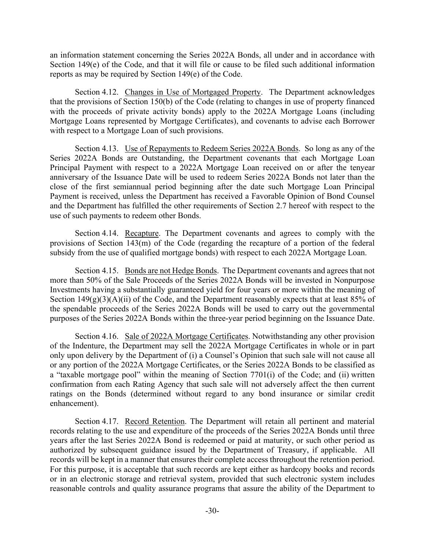an information statement concerning the Series 2022A Bonds, all under and in accordance with Section 149(e) of the Code, and that it will file or cause to be filed such additional information reports as may be required by Section 149(e) of the Code.

Section 4.12. Changes in Use of Mortgaged Property. The Department acknowledges that the provisions of Section 150(b) of the Code (relating to changes in use of property financed with the proceeds of private activity bonds) apply to the 2022A Mortgage Loans (including Mortgage Loans represented by Mortgage Certificates), and covenants to advise each Borrower with respect to a Mortgage Loan of such provisions.

Section 4.13. Use of Repayments to Redeem Series 2022A Bonds. So long as any of the Series 2022A Bonds are Outstanding, the Department covenants that each Mortgage Loan Principal Payment with respect to a 2022A Mortgage Loan received on or after the tenyear anniversary of the Issuance Date will be used to redeem Series 2022A Bonds not later than the close of the first semiannual period beginning after the date such Mortgage Loan Principal Payment is received, unless the Department has received a Favorable Opinion of Bond Counsel and the Department has fulfilled the other requirements of Section 2.7 hereof with respect to the use of such payments to redeem other Bonds.

Section 4.14. Recapture. The Department covenants and agrees to comply with the provisions of Section 143(m) of the Code (regarding the recapture of a portion of the federal subsidy from the use of qualified mortgage bonds) with respect to each 2022A Mortgage Loan.

Section 4.15. Bonds are not Hedge Bonds. The Department covenants and agrees that not more than 50% of the Sale Proceeds of the Series 2022A Bonds will be invested in Nonpurpose Investments having a substantially guaranteed yield for four years or more within the meaning of Section  $149(g)(3)(A)(ii)$  of the Code, and the Department reasonably expects that at least 85% of the spendable proceeds of the Series 2022A Bonds will be used to carry out the governmental purposes of the Series 2022A Bonds within the three-year period beginning on the Issuance Date.

Section 4.16. Sale of 2022A Mortgage Certificates. Notwithstanding any other provision of the Indenture, the Department may sell the 2022A Mortgage Certificates in whole or in part only upon delivery by the Department of (i) a Counsel's Opinion that such sale will not cause all or any portion of the 2022A Mortgage Certificates, or the Series 2022A Bonds to be classified as a "taxable mortgage pool" within the meaning of Section 7701(i) of the Code; and (ii) written confirmation from each Rating Agency that such sale will not adversely affect the then current ratings on the Bonds (determined without regard to any bond insurance or similar credit enhancement).

Section 4.17. Record Retention. The Department will retain all pertinent and material records relating to the use and expenditure of the proceeds of the Series 2022A Bonds until three years after the last Series 2022A Bond is redeemed or paid at maturity, or such other period as authorized by subsequent guidance issued by the Department of Treasury, if applicable. All records will be kept in a manner that ensures their complete access throughout the retention period. For this purpose, it is acceptable that such records are kept either as hardcopy books and records or in an electronic storage and retrieval system, provided that such electronic system includes reasonable controls and quality assurance programs that assure the ability of the Department to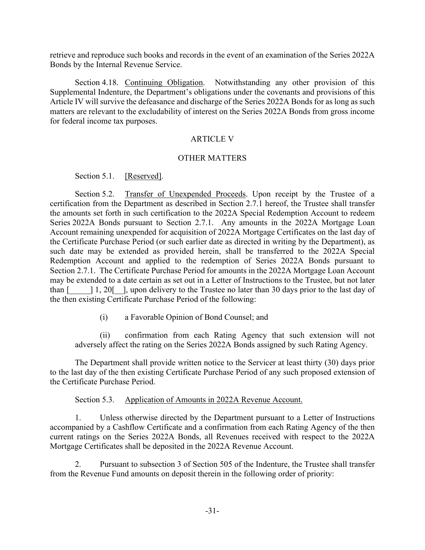retrieve and reproduce such books and records in the event of an examination of the Series 2022A Bonds by the Internal Revenue Service.

Section 4.18. Continuing Obligation. Notwithstanding any other provision of this Supplemental Indenture, the Department's obligations under the covenants and provisions of this Article IV will survive the defeasance and discharge of the Series 2022A Bonds for as long as such matters are relevant to the excludability of interest on the Series 2022A Bonds from gross income for federal income tax purposes.

#### ARTICLE V

#### OTHER MATTERS

Section 5.1. [Reserved].

Section 5.2. Transfer of Unexpended Proceeds. Upon receipt by the Trustee of a certification from the Department as described in Section 2.7.1 hereof, the Trustee shall transfer the amounts set forth in such certification to the 2022A Special Redemption Account to redeem Series 2022A Bonds pursuant to Section 2.7.1. Any amounts in the 2022A Mortgage Loan Account remaining unexpended for acquisition of 2022A Mortgage Certificates on the last day of the Certificate Purchase Period (or such earlier date as directed in writing by the Department), as such date may be extended as provided herein, shall be transferred to the 2022A Special Redemption Account and applied to the redemption of Series 2022A Bonds pursuant to Section 2.7.1. The Certificate Purchase Period for amounts in the 2022A Mortgage Loan Account may be extended to a date certain as set out in a Letter of Instructions to the Trustee, but not later than  $\lceil \frac{1}{20} \rceil$ , upon delivery to the Trustee no later than 30 days prior to the last day of the then existing Certificate Purchase Period of the following:

(i) a Favorable Opinion of Bond Counsel; and

(ii) confirmation from each Rating Agency that such extension will not adversely affect the rating on the Series 2022A Bonds assigned by such Rating Agency.

The Department shall provide written notice to the Servicer at least thirty (30) days prior to the last day of the then existing Certificate Purchase Period of any such proposed extension of the Certificate Purchase Period.

Section 5.3. Application of Amounts in 2022A Revenue Account.

1. Unless otherwise directed by the Department pursuant to a Letter of Instructions accompanied by a Cashflow Certificate and a confirmation from each Rating Agency of the then current ratings on the Series 2022A Bonds, all Revenues received with respect to the 2022A Mortgage Certificates shall be deposited in the 2022A Revenue Account.

2. Pursuant to subsection 3 of Section 505 of the Indenture, the Trustee shall transfer from the Revenue Fund amounts on deposit therein in the following order of priority: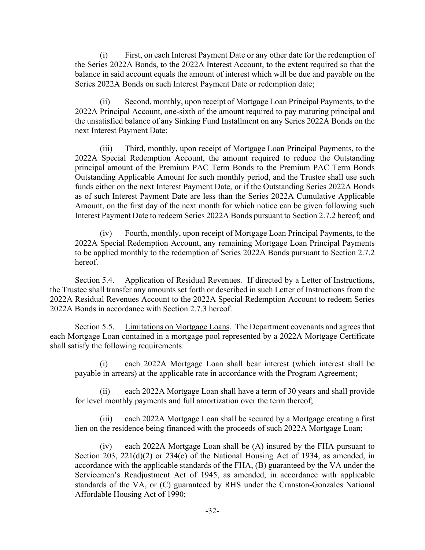(i) First, on each Interest Payment Date or any other date for the redemption of the Series 2022A Bonds, to the 2022A Interest Account, to the extent required so that the balance in said account equals the amount of interest which will be due and payable on the Series 2022A Bonds on such Interest Payment Date or redemption date;

(ii) Second, monthly, upon receipt of Mortgage Loan Principal Payments, to the 2022A Principal Account, one-sixth of the amount required to pay maturing principal and the unsatisfied balance of any Sinking Fund Installment on any Series 2022A Bonds on the next Interest Payment Date;

(iii) Third, monthly, upon receipt of Mortgage Loan Principal Payments, to the 2022A Special Redemption Account, the amount required to reduce the Outstanding principal amount of the Premium PAC Term Bonds to the Premium PAC Term Bonds Outstanding Applicable Amount for such monthly period, and the Trustee shall use such funds either on the next Interest Payment Date, or if the Outstanding Series 2022A Bonds as of such Interest Payment Date are less than the Series 2022A Cumulative Applicable Amount, on the first day of the next month for which notice can be given following such Interest Payment Date to redeem Series 2022A Bonds pursuant to Section 2.7.2 hereof; and

(iv) Fourth, monthly, upon receipt of Mortgage Loan Principal Payments, to the 2022A Special Redemption Account, any remaining Mortgage Loan Principal Payments to be applied monthly to the redemption of Series 2022A Bonds pursuant to Section 2.7.2 hereof.

Section 5.4. Application of Residual Revenues. If directed by a Letter of Instructions, the Trustee shall transfer any amounts set forth or described in such Letter of Instructions from the 2022A Residual Revenues Account to the 2022A Special Redemption Account to redeem Series 2022A Bonds in accordance with Section 2.7.3 hereof.

Section 5.5. Limitations on Mortgage Loans. The Department covenants and agrees that each Mortgage Loan contained in a mortgage pool represented by a 2022A Mortgage Certificate shall satisfy the following requirements:

each 2022A Mortgage Loan shall bear interest (which interest shall be payable in arrears) at the applicable rate in accordance with the Program Agreement;

(ii) each 2022A Mortgage Loan shall have a term of 30 years and shall provide for level monthly payments and full amortization over the term thereof;

(iii) each 2022A Mortgage Loan shall be secured by a Mortgage creating a first lien on the residence being financed with the proceeds of such 2022A Mortgage Loan;

(iv) each 2022A Mortgage Loan shall be (A) insured by the FHA pursuant to Section 203, 221(d)(2) or 234(c) of the National Housing Act of 1934, as amended, in accordance with the applicable standards of the FHA, (B) guaranteed by the VA under the Servicemen's Readjustment Act of 1945, as amended, in accordance with applicable standards of the VA, or (C) guaranteed by RHS under the Cranston-Gonzales National Affordable Housing Act of 1990;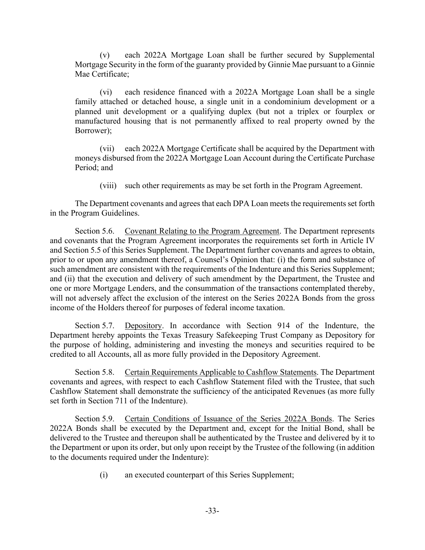(v) each 2022A Mortgage Loan shall be further secured by Supplemental Mortgage Security in the form of the guaranty provided by Ginnie Mae pursuant to a Ginnie Mae Certificate;

(vi) each residence financed with a 2022A Mortgage Loan shall be a single family attached or detached house, a single unit in a condominium development or a planned unit development or a qualifying duplex (but not a triplex or fourplex or manufactured housing that is not permanently affixed to real property owned by the Borrower);

(vii) each 2022A Mortgage Certificate shall be acquired by the Department with moneys disbursed from the 2022A Mortgage Loan Account during the Certificate Purchase Period; and

(viii) such other requirements as may be set forth in the Program Agreement.

The Department covenants and agrees that each DPA Loan meets the requirements set forth in the Program Guidelines.

Section 5.6. Covenant Relating to the Program Agreement. The Department represents and covenants that the Program Agreement incorporates the requirements set forth in Article IV and Section 5.5 of this Series Supplement. The Department further covenants and agrees to obtain, prior to or upon any amendment thereof, a Counsel's Opinion that: (i) the form and substance of such amendment are consistent with the requirements of the Indenture and this Series Supplement; and (ii) that the execution and delivery of such amendment by the Department, the Trustee and one or more Mortgage Lenders, and the consummation of the transactions contemplated thereby, will not adversely affect the exclusion of the interest on the Series 2022A Bonds from the gross income of the Holders thereof for purposes of federal income taxation.

Section 5.7. Depository. In accordance with Section 914 of the Indenture, the Department hereby appoints the Texas Treasury Safekeeping Trust Company as Depository for the purpose of holding, administering and investing the moneys and securities required to be credited to all Accounts, all as more fully provided in the Depository Agreement.

Section 5.8. Certain Requirements Applicable to Cashflow Statements. The Department covenants and agrees, with respect to each Cashflow Statement filed with the Trustee, that such Cashflow Statement shall demonstrate the sufficiency of the anticipated Revenues (as more fully set forth in Section 711 of the Indenture).

Section 5.9. Certain Conditions of Issuance of the Series 2022A Bonds. The Series 2022A Bonds shall be executed by the Department and, except for the Initial Bond, shall be delivered to the Trustee and thereupon shall be authenticated by the Trustee and delivered by it to the Department or upon its order, but only upon receipt by the Trustee of the following (in addition to the documents required under the Indenture):

(i) an executed counterpart of this Series Supplement;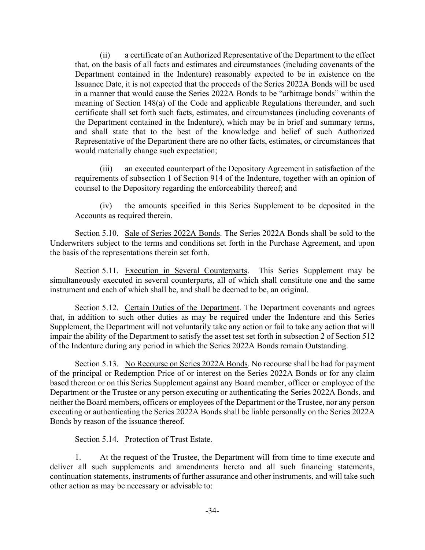(ii) a certificate of an Authorized Representative of the Department to the effect that, on the basis of all facts and estimates and circumstances (including covenants of the Department contained in the Indenture) reasonably expected to be in existence on the Issuance Date, it is not expected that the proceeds of the Series 2022A Bonds will be used in a manner that would cause the Series 2022A Bonds to be "arbitrage bonds" within the meaning of Section 148(a) of the Code and applicable Regulations thereunder, and such certificate shall set forth such facts, estimates, and circumstances (including covenants of the Department contained in the Indenture), which may be in brief and summary terms, and shall state that to the best of the knowledge and belief of such Authorized Representative of the Department there are no other facts, estimates, or circumstances that would materially change such expectation;

(iii) an executed counterpart of the Depository Agreement in satisfaction of the requirements of subsection 1 of Section 914 of the Indenture, together with an opinion of counsel to the Depository regarding the enforceability thereof; and

(iv) the amounts specified in this Series Supplement to be deposited in the Accounts as required therein.

Section 5.10. Sale of Series 2022A Bonds. The Series 2022A Bonds shall be sold to the Underwriters subject to the terms and conditions set forth in the Purchase Agreement, and upon the basis of the representations therein set forth.

Section 5.11. Execution in Several Counterparts. This Series Supplement may be simultaneously executed in several counterparts, all of which shall constitute one and the same instrument and each of which shall be, and shall be deemed to be, an original.

Section 5.12. Certain Duties of the Department. The Department covenants and agrees that, in addition to such other duties as may be required under the Indenture and this Series Supplement, the Department will not voluntarily take any action or fail to take any action that will impair the ability of the Department to satisfy the asset test set forth in subsection 2 of Section 512 of the Indenture during any period in which the Series 2022A Bonds remain Outstanding.

Section 5.13. No Recourse on Series 2022A Bonds. No recourse shall be had for payment of the principal or Redemption Price of or interest on the Series 2022A Bonds or for any claim based thereon or on this Series Supplement against any Board member, officer or employee of the Department or the Trustee or any person executing or authenticating the Series 2022A Bonds, and neither the Board members, officers or employees of the Department or the Trustee, nor any person executing or authenticating the Series 2022A Bonds shall be liable personally on the Series 2022A Bonds by reason of the issuance thereof.

Section 5.14. Protection of Trust Estate.

1. At the request of the Trustee, the Department will from time to time execute and deliver all such supplements and amendments hereto and all such financing statements, continuation statements, instruments of further assurance and other instruments, and will take such other action as may be necessary or advisable to: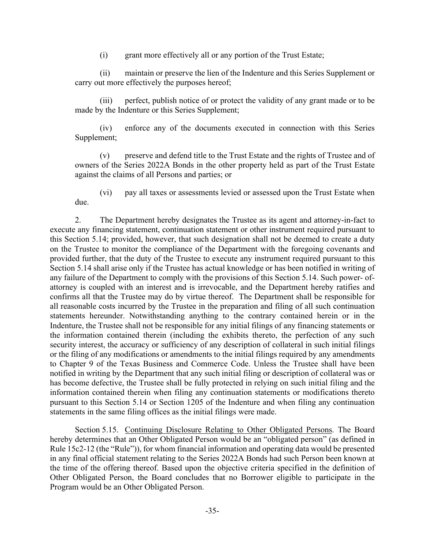(i) grant more effectively all or any portion of the Trust Estate;

(ii) maintain or preserve the lien of the Indenture and this Series Supplement or carry out more effectively the purposes hereof;

(iii) perfect, publish notice of or protect the validity of any grant made or to be made by the Indenture or this Series Supplement;

(iv) enforce any of the documents executed in connection with this Series Supplement;

(v) preserve and defend title to the Trust Estate and the rights of Trustee and of owners of the Series 2022A Bonds in the other property held as part of the Trust Estate against the claims of all Persons and parties; or

(vi) pay all taxes or assessments levied or assessed upon the Trust Estate when due.

2. The Department hereby designates the Trustee as its agent and attorney-in-fact to execute any financing statement, continuation statement or other instrument required pursuant to this Section 5.14; provided, however, that such designation shall not be deemed to create a duty on the Trustee to monitor the compliance of the Department with the foregoing covenants and provided further, that the duty of the Trustee to execute any instrument required pursuant to this Section 5.14 shall arise only if the Trustee has actual knowledge or has been notified in writing of any failure of the Department to comply with the provisions of this Section 5.14. Such power- ofattorney is coupled with an interest and is irrevocable, and the Department hereby ratifies and confirms all that the Trustee may do by virtue thereof. The Department shall be responsible for all reasonable costs incurred by the Trustee in the preparation and filing of all such continuation statements hereunder. Notwithstanding anything to the contrary contained herein or in the Indenture, the Trustee shall not be responsible for any initial filings of any financing statements or the information contained therein (including the exhibits thereto, the perfection of any such security interest, the accuracy or sufficiency of any description of collateral in such initial filings or the filing of any modifications or amendments to the initial filings required by any amendments to Chapter 9 of the Texas Business and Commerce Code. Unless the Trustee shall have been notified in writing by the Department that any such initial filing or description of collateral was or has become defective, the Trustee shall be fully protected in relying on such initial filing and the information contained therein when filing any continuation statements or modifications thereto pursuant to this Section 5.14 or Section 1205 of the Indenture and when filing any continuation statements in the same filing offices as the initial filings were made.

Section 5.15. Continuing Disclosure Relating to Other Obligated Persons. The Board hereby determines that an Other Obligated Person would be an "obligated person" (as defined in Rule 15c2-12 (the "Rule")), for whom financial information and operating data would be presented in any final official statement relating to the Series 2022A Bonds had such Person been known at the time of the offering thereof. Based upon the objective criteria specified in the definition of Other Obligated Person, the Board concludes that no Borrower eligible to participate in the Program would be an Other Obligated Person.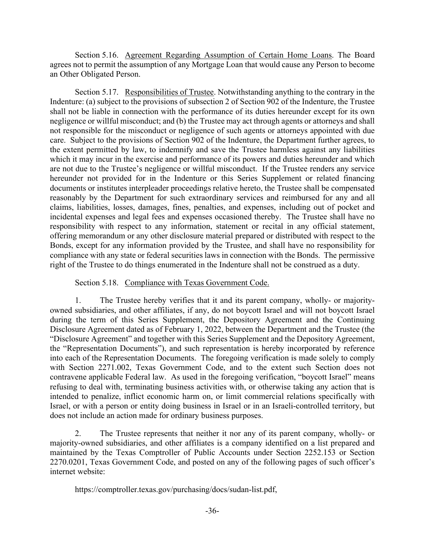Section 5.16. Agreement Regarding Assumption of Certain Home Loans. The Board agrees not to permit the assumption of any Mortgage Loan that would cause any Person to become an Other Obligated Person.

Section 5.17. Responsibilities of Trustee. Notwithstanding anything to the contrary in the Indenture: (a) subject to the provisions of subsection 2 of Section 902 of the Indenture, the Trustee shall not be liable in connection with the performance of its duties hereunder except for its own negligence or willful misconduct; and (b) the Trustee may act through agents or attorneys and shall not responsible for the misconduct or negligence of such agents or attorneys appointed with due care. Subject to the provisions of Section 902 of the Indenture, the Department further agrees, to the extent permitted by law, to indemnify and save the Trustee harmless against any liabilities which it may incur in the exercise and performance of its powers and duties hereunder and which are not due to the Trustee's negligence or willful misconduct. If the Trustee renders any service hereunder not provided for in the Indenture or this Series Supplement or related financing documents or institutes interpleader proceedings relative hereto, the Trustee shall be compensated reasonably by the Department for such extraordinary services and reimbursed for any and all claims, liabilities, losses, damages, fines, penalties, and expenses, including out of pocket and incidental expenses and legal fees and expenses occasioned thereby. The Trustee shall have no responsibility with respect to any information, statement or recital in any official statement, offering memorandum or any other disclosure material prepared or distributed with respect to the Bonds, except for any information provided by the Trustee, and shall have no responsibility for compliance with any state or federal securities laws in connection with the Bonds. The permissive right of the Trustee to do things enumerated in the Indenture shall not be construed as a duty.

#### Section 5.18. Compliance with Texas Government Code.

1. The Trustee hereby verifies that it and its parent company, wholly- or majorityowned subsidiaries, and other affiliates, if any, do not boycott Israel and will not boycott Israel during the term of this Series Supplement, the Depository Agreement and the Continuing Disclosure Agreement dated as of February 1, 2022, between the Department and the Trustee (the "Disclosure Agreement" and together with this Series Supplement and the Depository Agreement, the "Representation Documents"), and such representation is hereby incorporated by reference into each of the Representation Documents. The foregoing verification is made solely to comply with Section 2271.002, Texas Government Code, and to the extent such Section does not contravene applicable Federal law. As used in the foregoing verification, "boycott Israel" means refusing to deal with, terminating business activities with, or otherwise taking any action that is intended to penalize, inflict economic harm on, or limit commercial relations specifically with Israel, or with a person or entity doing business in Israel or in an Israeli-controlled territory, but does not include an action made for ordinary business purposes.

2. The Trustee represents that neither it nor any of its parent company, wholly- or majority-owned subsidiaries, and other affiliates is a company identified on a list prepared and maintained by the Texas Comptroller of Public Accounts under Section 2252.153 or Section 2270.0201, Texas Government Code, and posted on any of the following pages of such officer's internet website:

https://comptroller.texas.gov/purchasing/docs/sudan-list.pdf,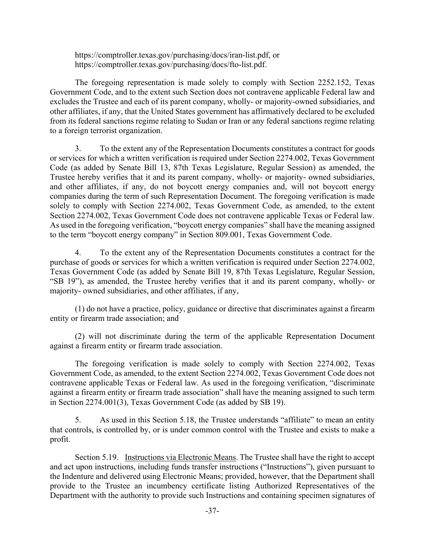https://comptroller.texas.gov/purchasing/docs/iran-list.pdf, or https://comptroller.texas.gov/purchasing/docs/fto-list.pdf.

The foregoing representation is made solely to comply with Section 2252.152, Texas Government Code, and to the extent such Section does not contravene applicable Federal law and excludes the Trustee and each of its parent company, wholly- or majority-owned subsidiaries, and other affiliates, if any, that the United States government has affirmatively declared to be excluded from its federal sanctions regime relating to Sudan or Iran or any federal sanctions regime relating to a foreign terrorist organization.

3. To the extent any of the Representation Documents constitutes a contract for goods or services for which a written verification is required under Section 2274.002, Texas Government Code (as added by Senate Bill 13, 87th Texas Legislature, Regular Session) as amended, the Trustee hereby verifies that it and its parent company, wholly- or majority- owned subsidiaries, and other affiliates, if any, do not boycott energy companies and, will not boycott energy companies during the term of such Representation Document. The foregoing verification is made solely to comply with Section 2274.002, Texas Government Code, as amended, to the extent Section 2274.002, Texas Government Code does not contravene applicable Texas or Federal law. As used in the foregoing verification, "boycott energy companies" shall have the meaning assigned to the term "boycott energy company" in Section 809.001, Texas Government Code.

4. To the extent any of the Representation Documents constitutes a contract for the purchase of goods or services for which a written verification is required under Section 2274.002, Texas Government Code (as added by Senate Bill 19, 87th Texas Legislature, Regular Session, "SB 19"), as amended, the Trustee hereby verifies that it and its parent company, wholly- or majority- owned subsidiaries, and other affiliates, if any,

(1) do not have a practice, policy, guidance or directive that discriminates against a firearm entity or firearm trade association; and

(2) will not discriminate during the term of the applicable Representation Document against a firearm entity or firearm trade association.

The foregoing verification is made solely to comply with Section 2274.002, Texas Government Code, as amended, to the extent Section 2274.002, Texas Government Code does not contravene applicable Texas or Federal law. As used in the foregoing verification, "discriminate against a firearm entity or firearm trade association" shall have the meaning assigned to such term in Section 2274.001(3), Texas Government Code (as added by SB 19).

5. As used in this Section 5.18, the Trustee understands "affiliate" to mean an entity that controls, is controlled by, or is under common control with the Trustee and exists to make a profit.

Section 5.19. Instructions via Electronic Means. The Trustee shall have the right to accept and act upon instructions, including funds transfer instructions ("Instructions"), given pursuant to the Indenture and delivered using Electronic Means; provided, however, that the Department shall provide to the Trustee an incumbency certificate listing Authorized Representatives of the Department with the authority to provide such Instructions and containing specimen signatures of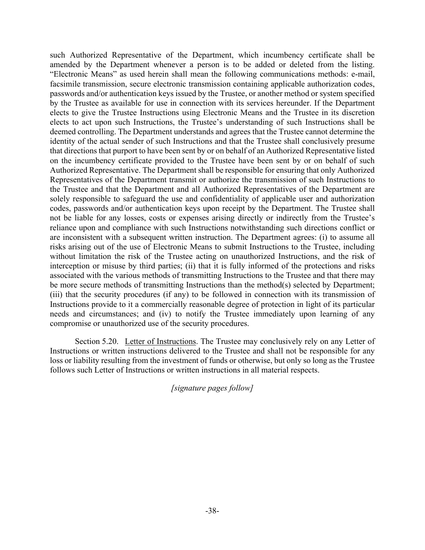such Authorized Representative of the Department, which incumbency certificate shall be amended by the Department whenever a person is to be added or deleted from the listing. "Electronic Means" as used herein shall mean the following communications methods: e-mail, facsimile transmission, secure electronic transmission containing applicable authorization codes, passwords and/or authentication keys issued by the Trustee, or another method or system specified by the Trustee as available for use in connection with its services hereunder. If the Department elects to give the Trustee Instructions using Electronic Means and the Trustee in its discretion elects to act upon such Instructions, the Trustee's understanding of such Instructions shall be deemed controlling. The Department understands and agrees that the Trustee cannot determine the identity of the actual sender of such Instructions and that the Trustee shall conclusively presume that directions that purport to have been sent by or on behalf of an Authorized Representative listed on the incumbency certificate provided to the Trustee have been sent by or on behalf of such Authorized Representative. The Department shall be responsible for ensuring that only Authorized Representatives of the Department transmit or authorize the transmission of such Instructions to the Trustee and that the Department and all Authorized Representatives of the Department are solely responsible to safeguard the use and confidentiality of applicable user and authorization codes, passwords and/or authentication keys upon receipt by the Department. The Trustee shall not be liable for any losses, costs or expenses arising directly or indirectly from the Trustee's reliance upon and compliance with such Instructions notwithstanding such directions conflict or are inconsistent with a subsequent written instruction. The Department agrees: (i) to assume all risks arising out of the use of Electronic Means to submit Instructions to the Trustee, including without limitation the risk of the Trustee acting on unauthorized Instructions, and the risk of interception or misuse by third parties; (ii) that it is fully informed of the protections and risks associated with the various methods of transmitting Instructions to the Trustee and that there may be more secure methods of transmitting Instructions than the method(s) selected by Department; (iii) that the security procedures (if any) to be followed in connection with its transmission of Instructions provide to it a commercially reasonable degree of protection in light of its particular needs and circumstances; and (iv) to notify the Trustee immediately upon learning of any compromise or unauthorized use of the security procedures.

Section 5.20. Letter of Instructions. The Trustee may conclusively rely on any Letter of Instructions or written instructions delivered to the Trustee and shall not be responsible for any loss or liability resulting from the investment of funds or otherwise, but only so long as the Trustee follows such Letter of Instructions or written instructions in all material respects.

*[signature pages follow]*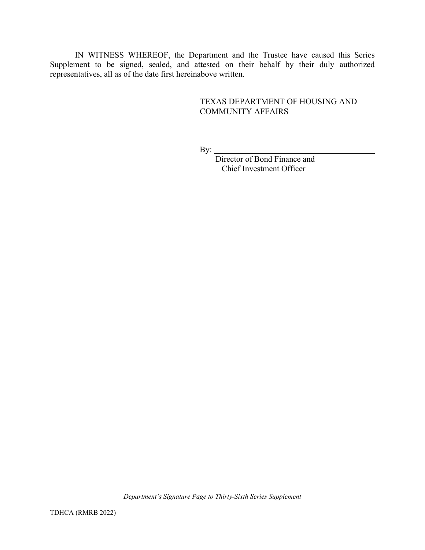IN WITNESS WHEREOF, the Department and the Trustee have caused this Series Supplement to be signed, sealed, and attested on their behalf by their duly authorized representatives, all as of the date first hereinabove written.

### TEXAS DEPARTMENT OF HOUSING AND COMMUNITY AFFAIRS

By:

Director of Bond Finance and Chief Investment Officer

*Department's Signature Page to Thirty-Sixth Series Supplement*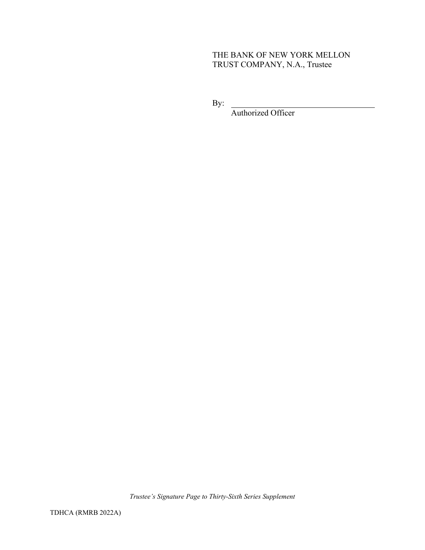# THE BANK OF NEW YORK MELLON TRUST COMPANY, N.A., Trustee

By:

Authorized Officer

*Trustee's Signature Page to Thirty-Sixth Series Supplement*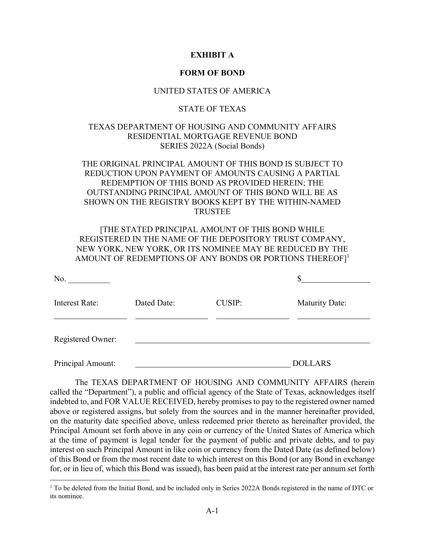#### **EXHIBIT A**

#### **FORM OF BOND**

#### UNITED STATES OF AMERICA

#### STATE OF TEXAS

#### TEXAS DEPARTMENT OF HOUSING AND COMMUNITY AFFAIRS RESIDENTIAL MORTGAGE REVENUE BOND SERIES 2022A (Social Bonds)

### THE ORIGINAL PRINCIPAL AMOUNT OF THIS BOND IS SUBJECT TO REDUCTION UPON PAYMENT OF AMOUNTS CAUSING A PARTIAL REDEMPTION OF THIS BOND AS PROVIDED HEREIN; THE OUTSTANDING PRINCIPAL AMOUNT OF THIS BOND WILL BE AS SHOWN ON THE REGISTRY BOOKS KEPT BY THE WITHIN-NAMED TRUSTEE

## [THE STATED PRINCIPAL AMOUNT OF THIS BOND WHILE REGISTERED IN THE NAME OF THE DEPOSITORY TRUST COMPANY, NEW YORK, NEW YORK, OR ITS NOMINEE MAY BE REDUCED BY THE AMOUNT OF REDEMPTIONS OF ANY BONDS OR PORTIONS THEREOF]<sup>1</sup>

| No.                   |             |               |                       |
|-----------------------|-------------|---------------|-----------------------|
| <b>Interest Rate:</b> | Dated Date: | <b>CUSIP:</b> | <b>Maturity Date:</b> |
| Registered Owner:     |             |               |                       |
| Principal Amount:     |             |               | <b>DOLLARS</b>        |

The TEXAS DEPARTMENT OF HOUSING AND COMMUNITY AFFAIRS (herein called the "Department"), a public and official agency of the State of Texas, acknowledges itself indebted to, and FOR VALUE RECEIVED, hereby promises to pay to the registered owner named above or registered assigns, but solely from the sources and in the manner hereinafter provided, on the maturity date specified above, unless redeemed prior thereto as hereinafter provided, the Principal Amount set forth above in any coin or currency of the United States of America which at the time of payment is legal tender for the payment of public and private debts, and to pay interest on such Principal Amount in like coin or currency from the Dated Date (as defined below) of this Bond or from the most recent date to which interest on this Bond (or any Bond in exchange for, or in lieu of, which this Bond was issued), has been paid at the interest rate per annum set forth

<sup>&</sup>lt;sup>1</sup> To be deleted from the Initial Bond, and be included only in Series 2022A Bonds registered in the name of DTC or its nominee.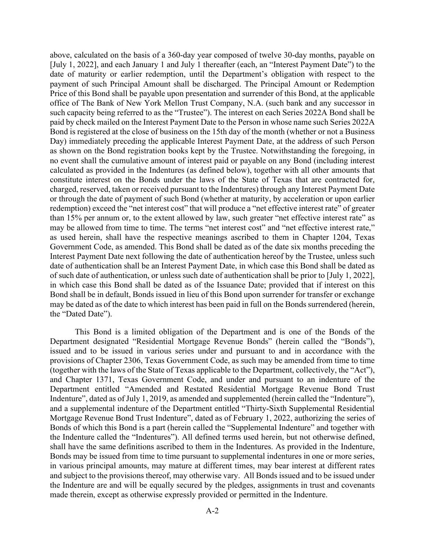above, calculated on the basis of a 360-day year composed of twelve 30-day months, payable on [July 1, 2022], and each January 1 and July 1 thereafter (each, an "Interest Payment Date") to the date of maturity or earlier redemption, until the Department's obligation with respect to the payment of such Principal Amount shall be discharged. The Principal Amount or Redemption Price of this Bond shall be payable upon presentation and surrender of this Bond, at the applicable office of The Bank of New York Mellon Trust Company, N.A. (such bank and any successor in such capacity being referred to as the "Trustee"). The interest on each Series 2022A Bond shall be paid by check mailed on the Interest Payment Date to the Person in whose name such Series 2022A Bond is registered at the close of business on the 15th day of the month (whether or not a Business Day) immediately preceding the applicable Interest Payment Date, at the address of such Person as shown on the Bond registration books kept by the Trustee. Notwithstanding the foregoing, in no event shall the cumulative amount of interest paid or payable on any Bond (including interest calculated as provided in the Indentures (as defined below), together with all other amounts that constitute interest on the Bonds under the laws of the State of Texas that are contracted for, charged, reserved, taken or received pursuant to the Indentures) through any Interest Payment Date or through the date of payment of such Bond (whether at maturity, by acceleration or upon earlier redemption) exceed the "net interest cost" that will produce a "net effective interest rate" of greater than 15% per annum or, to the extent allowed by law, such greater "net effective interest rate" as may be allowed from time to time. The terms "net interest cost" and "net effective interest rate," as used herein, shall have the respective meanings ascribed to them in Chapter 1204, Texas Government Code, as amended. This Bond shall be dated as of the date six months preceding the Interest Payment Date next following the date of authentication hereof by the Trustee, unless such date of authentication shall be an Interest Payment Date, in which case this Bond shall be dated as of such date of authentication, or unless such date of authentication shall be prior to [July 1, 2022], in which case this Bond shall be dated as of the Issuance Date; provided that if interest on this Bond shall be in default, Bonds issued in lieu of this Bond upon surrender for transfer or exchange may be dated as of the date to which interest has been paid in full on the Bonds surrendered (herein, the "Dated Date").

This Bond is a limited obligation of the Department and is one of the Bonds of the Department designated "Residential Mortgage Revenue Bonds" (herein called the "Bonds"), issued and to be issued in various series under and pursuant to and in accordance with the provisions of Chapter 2306, Texas Government Code, as such may be amended from time to time (together with the laws of the State of Texas applicable to the Department, collectively, the "Act"), and Chapter 1371, Texas Government Code, and under and pursuant to an indenture of the Department entitled "Amended and Restated Residential Mortgage Revenue Bond Trust Indenture", dated as of July 1, 2019, as amended and supplemented (herein called the "Indenture"), and a supplemental indenture of the Department entitled "Thirty-Sixth Supplemental Residential Mortgage Revenue Bond Trust Indenture", dated as of February 1, 2022, authorizing the series of Bonds of which this Bond is a part (herein called the "Supplemental Indenture" and together with the Indenture called the "Indentures"). All defined terms used herein, but not otherwise defined, shall have the same definitions ascribed to them in the Indentures. As provided in the Indenture, Bonds may be issued from time to time pursuant to supplemental indentures in one or more series, in various principal amounts, may mature at different times, may bear interest at different rates and subject to the provisions thereof, may otherwise vary. All Bonds issued and to be issued under the Indenture are and will be equally secured by the pledges, assignments in trust and covenants made therein, except as otherwise expressly provided or permitted in the Indenture.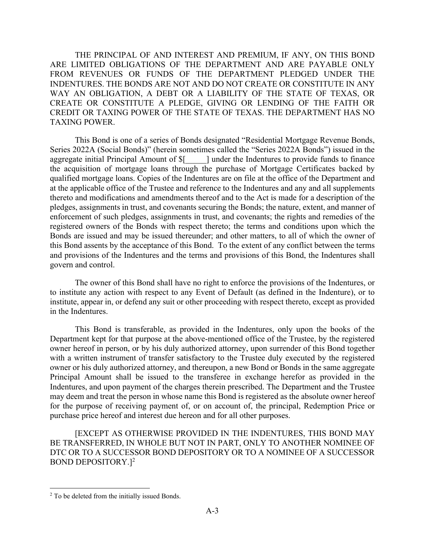THE PRINCIPAL OF AND INTEREST AND PREMIUM, IF ANY, ON THIS BOND ARE LIMITED OBLIGATIONS OF THE DEPARTMENT AND ARE PAYABLE ONLY FROM REVENUES OR FUNDS OF THE DEPARTMENT PLEDGED UNDER THE INDENTURES. THE BONDS ARE NOT AND DO NOT CREATE OR CONSTITUTE IN ANY WAY AN OBLIGATION, A DEBT OR A LIABILITY OF THE STATE OF TEXAS, OR CREATE OR CONSTITUTE A PLEDGE, GIVING OR LENDING OF THE FAITH OR CREDIT OR TAXING POWER OF THE STATE OF TEXAS. THE DEPARTMENT HAS NO TAXING POWER.

This Bond is one of a series of Bonds designated "Residential Mortgage Revenue Bonds, Series 2022A (Social Bonds)" (herein sometimes called the "Series 2022A Bonds") issued in the aggregate initial Principal Amount of  $\{\$  and  $\alpha$  and  $\alpha$  indentures to provide funds to finance the acquisition of mortgage loans through the purchase of Mortgage Certificates backed by qualified mortgage loans. Copies of the Indentures are on file at the office of the Department and at the applicable office of the Trustee and reference to the Indentures and any and all supplements thereto and modifications and amendments thereof and to the Act is made for a description of the pledges, assignments in trust, and covenants securing the Bonds; the nature, extent, and manner of enforcement of such pledges, assignments in trust, and covenants; the rights and remedies of the registered owners of the Bonds with respect thereto; the terms and conditions upon which the Bonds are issued and may be issued thereunder; and other matters, to all of which the owner of this Bond assents by the acceptance of this Bond. To the extent of any conflict between the terms and provisions of the Indentures and the terms and provisions of this Bond, the Indentures shall govern and control.

The owner of this Bond shall have no right to enforce the provisions of the Indentures, or to institute any action with respect to any Event of Default (as defined in the Indenture), or to institute, appear in, or defend any suit or other proceeding with respect thereto, except as provided in the Indentures.

This Bond is transferable, as provided in the Indentures, only upon the books of the Department kept for that purpose at the above-mentioned office of the Trustee, by the registered owner hereof in person, or by his duly authorized attorney, upon surrender of this Bond together with a written instrument of transfer satisfactory to the Trustee duly executed by the registered owner or his duly authorized attorney, and thereupon, a new Bond or Bonds in the same aggregate Principal Amount shall be issued to the transferee in exchange herefor as provided in the Indentures, and upon payment of the charges therein prescribed. The Department and the Trustee may deem and treat the person in whose name this Bond is registered as the absolute owner hereof for the purpose of receiving payment of, or on account of, the principal, Redemption Price or purchase price hereof and interest due hereon and for all other purposes.

[EXCEPT AS OTHERWISE PROVIDED IN THE INDENTURES, THIS BOND MAY BE TRANSFERRED, IN WHOLE BUT NOT IN PART, ONLY TO ANOTHER NOMINEE OF DTC OR TO A SUCCESSOR BOND DEPOSITORY OR TO A NOMINEE OF A SUCCESSOR BOND DEPOSITORY.]<sup>2</sup>

<sup>&</sup>lt;sup>2</sup> To be deleted from the initially issued Bonds.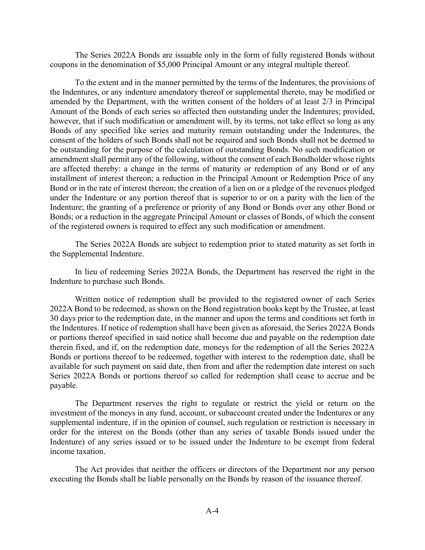The Series 2022A Bonds are issuable only in the form of fully registered Bonds without coupons in the denomination of \$5,000 Principal Amount or any integral multiple thereof.

To the extent and in the manner permitted by the terms of the Indentures, the provisions of the Indentures, or any indenture amendatory thereof or supplemental thereto, may be modified or amended by the Department, with the written consent of the holders of at least 2/3 in Principal Amount of the Bonds of each series so affected then outstanding under the Indentures; provided, however, that if such modification or amendment will, by its terms, not take effect so long as any Bonds of any specified like series and maturity remain outstanding under the Indentures, the consent of the holders of such Bonds shall not be required and such Bonds shall not be deemed to be outstanding for the purpose of the calculation of outstanding Bonds. No such modification or amendment shall permit any of the following, without the consent of each Bondholder whose rights are affected thereby: a change in the terms of maturity or redemption of any Bond or of any installment of interest thereon; a reduction in the Principal Amount or Redemption Price of any Bond or in the rate of interest thereon; the creation of a lien on or a pledge of the revenues pledged under the Indenture or any portion thereof that is superior to or on a parity with the lien of the Indenture; the granting of a preference or priority of any Bond or Bonds over any other Bond or Bonds; or a reduction in the aggregate Principal Amount or classes of Bonds, of which the consent of the registered owners is required to effect any such modification or amendment.

The Series 2022A Bonds are subject to redemption prior to stated maturity as set forth in the Supplemental Indenture.

In lieu of redeeming Series 2022A Bonds, the Department has reserved the right in the Indenture to purchase such Bonds.

Written notice of redemption shall be provided to the registered owner of each Series 2022A Bond to be redeemed, as shown on the Bond registration books kept by the Trustee, at least 30 days prior to the redemption date, in the manner and upon the terms and conditions set forth in the Indentures. If notice of redemption shall have been given as aforesaid, the Series 2022A Bonds or portions thereof specified in said notice shall become due and payable on the redemption date therein fixed, and if, on the redemption date, moneys for the redemption of all the Series 2022A Bonds or portions thereof to be redeemed, together with interest to the redemption date, shall be available for such payment on said date, then from and after the redemption date interest on such Series 2022A Bonds or portions thereof so called for redemption shall cease to accrue and be payable.

The Department reserves the right to regulate or restrict the yield or return on the investment of the moneys in any fund, account, or subaccount created under the Indentures or any supplemental indenture, if in the opinion of counsel, such regulation or restriction is necessary in order for the interest on the Bonds (other than any series of taxable Bonds issued under the Indenture) of any series issued or to be issued under the Indenture to be exempt from federal income taxation.

The Act provides that neither the officers or directors of the Department nor any person executing the Bonds shall be liable personally on the Bonds by reason of the issuance thereof.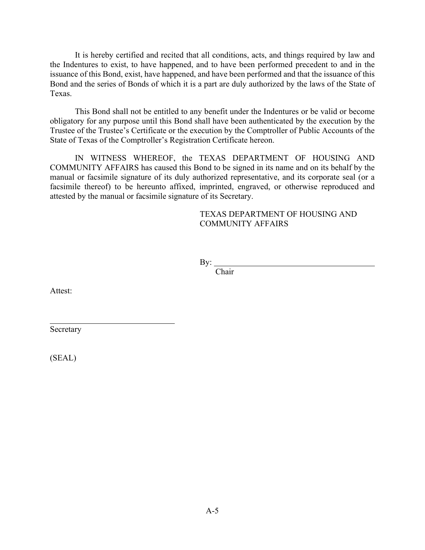It is hereby certified and recited that all conditions, acts, and things required by law and the Indentures to exist, to have happened, and to have been performed precedent to and in the issuance of this Bond, exist, have happened, and have been performed and that the issuance of this Bond and the series of Bonds of which it is a part are duly authorized by the laws of the State of Texas.

This Bond shall not be entitled to any benefit under the Indentures or be valid or become obligatory for any purpose until this Bond shall have been authenticated by the execution by the Trustee of the Trustee's Certificate or the execution by the Comptroller of Public Accounts of the State of Texas of the Comptroller's Registration Certificate hereon.

IN WITNESS WHEREOF, the TEXAS DEPARTMENT OF HOUSING AND COMMUNITY AFFAIRS has caused this Bond to be signed in its name and on its behalf by the manual or facsimile signature of its duly authorized representative, and its corporate seal (or a facsimile thereof) to be hereunto affixed, imprinted, engraved, or otherwise reproduced and attested by the manual or facsimile signature of its Secretary.

#### TEXAS DEPARTMENT OF HOUSING AND COMMUNITY AFFAIRS

By:

Chair

Attest:

 $\overline{a}$ 

Secretary

(SEAL)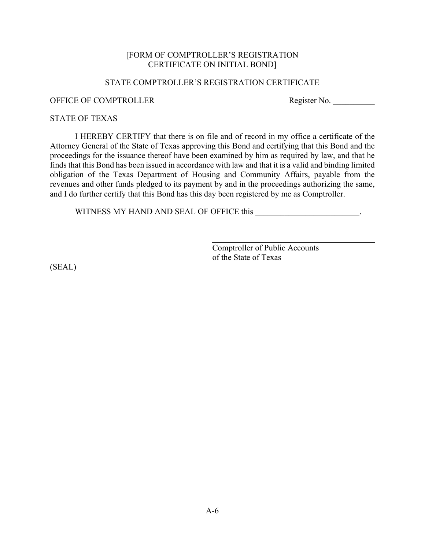#### [FORM OF COMPTROLLER'S REGISTRATION CERTIFICATE ON INITIAL BOND]

#### STATE COMPTROLLER'S REGISTRATION CERTIFICATE

# OFFICE OF COMPTROLLER Register No.

#### STATE OF TEXAS

I HEREBY CERTIFY that there is on file and of record in my office a certificate of the Attorney General of the State of Texas approving this Bond and certifying that this Bond and the proceedings for the issuance thereof have been examined by him as required by law, and that he finds that this Bond has been issued in accordance with law and that it is a valid and binding limited obligation of the Texas Department of Housing and Community Affairs, payable from the revenues and other funds pledged to its payment by and in the proceedings authorizing the same, and I do further certify that this Bond has this day been registered by me as Comptroller.

WITNESS MY HAND AND SEAL OF OFFICE this \_\_\_\_\_\_\_\_\_\_\_\_\_\_\_\_\_\_\_\_\_\_\_\_\_.

Comptroller of Public Accounts of the State of Texas

(SEAL)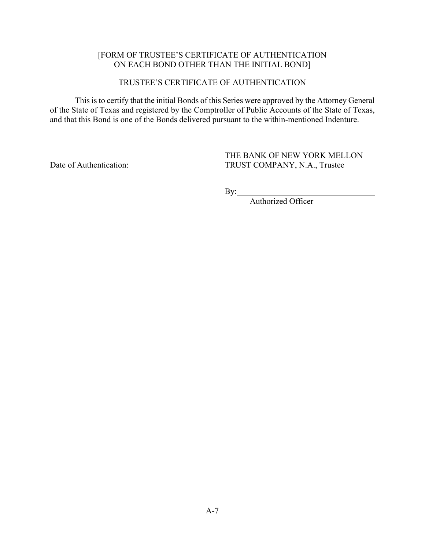## [FORM OF TRUSTEE'S CERTIFICATE OF AUTHENTICATION ON EACH BOND OTHER THAN THE INITIAL BOND]

## TRUSTEE'S CERTIFICATE OF AUTHENTICATION

This is to certify that the initial Bonds of this Series were approved by the Attorney General of the State of Texas and registered by the Comptroller of Public Accounts of the State of Texas, and that this Bond is one of the Bonds delivered pursuant to the within-mentioned Indenture.

Date of Authentication:

THE BANK OF NEW YORK MELLON TRUST COMPANY, N.A., Trustee

By:

Authorized Officer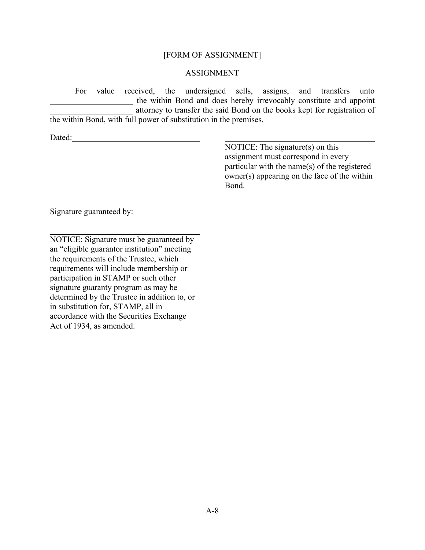#### [FORM OF ASSIGNMENT]

### ASSIGNMENT

For value received, the undersigned sells, assigns, and transfers unto the within Bond and does hereby irrevocably constitute and appoint attorney to transfer the said Bond on the books kept for registration of the within Bond, with full power of substitution in the premises.

Dated:

NOTICE: The signature(s) on this assignment must correspond in every particular with the name(s) of the registered owner(s) appearing on the face of the within Bond.

Signature guaranteed by:

NOTICE: Signature must be guaranteed by an "eligible guarantor institution" meeting the requirements of the Trustee, which requirements will include membership or participation in STAMP or such other signature guaranty program as may be determined by the Trustee in addition to, or in substitution for, STAMP, all in accordance with the Securities Exchange Act of 1934, as amended.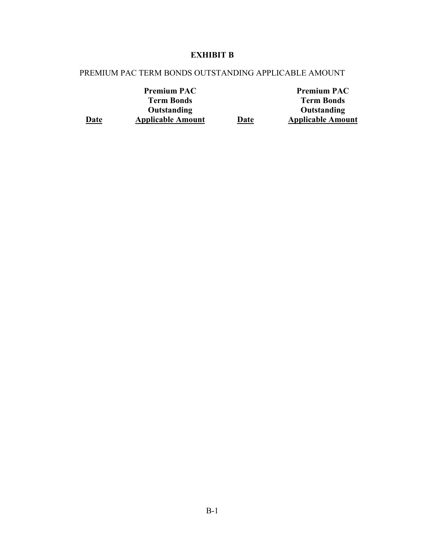# **EXHIBIT B**

# PREMIUM PAC TERM BONDS OUTSTANDING APPLICABLE AMOUNT

**Date** 

|      | <b>Premium PAC</b>       |
|------|--------------------------|
|      | <b>Term Bonds</b>        |
|      | Outstanding              |
| Date | <b>Applicable Amount</b> |

**Premium PAC Term Bonds Outstanding Applicable Amount**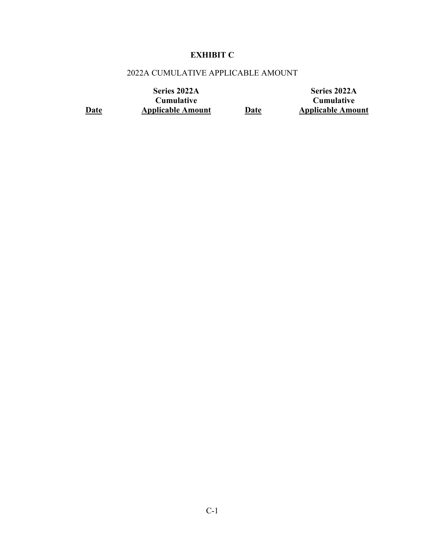# **EXHIBIT C**

# 2022A CUMULATIVE APPLICABLE AMOUNT

**Date Series 2022A Cumulative Applicable Amount Date Series 2022A Cumulative Applicable Amount**